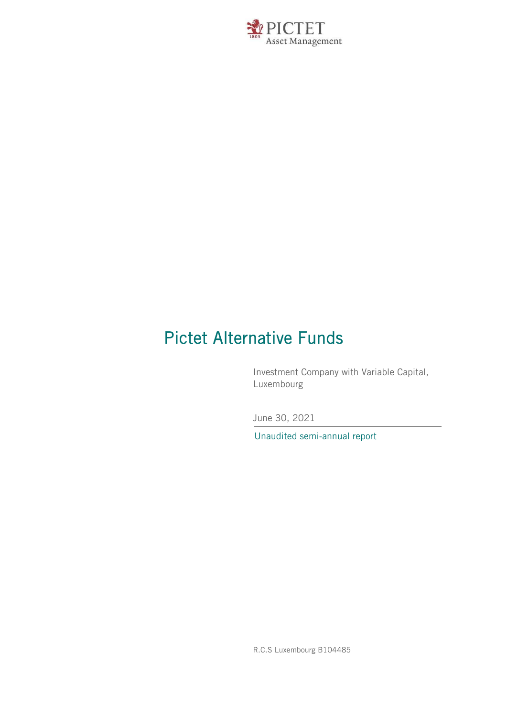

# Pictet Alternative Funds

Investment Company with Variable Capital, Luxembourg

June 30, 2021

Unaudited semi-annual report

R.C.S Luxembourg B104485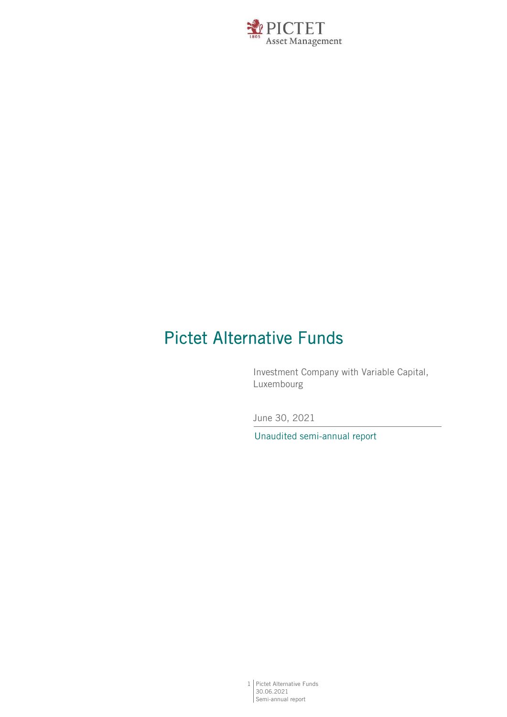

# Pictet Alternative Funds

Investment Company with Variable Capital, Luxembourg

June 30, 2021

Unaudited semi-annual report

1 Pictet Alternative Funds 30.06.2021 Semi-annual report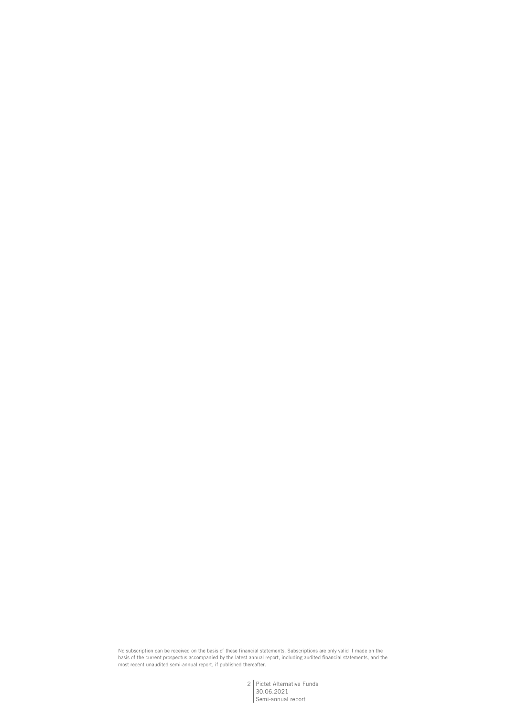No subscription can be received on the basis of these financial statements. Subscriptions are only valid if made on the basis of the current prospectus accompanied by the latest annual report, including audited financial statements, and the most recent unaudited semi-annual report, if published thereafter.

> 2 Pictet Alternative Funds 30.06.2021 Semi-annual report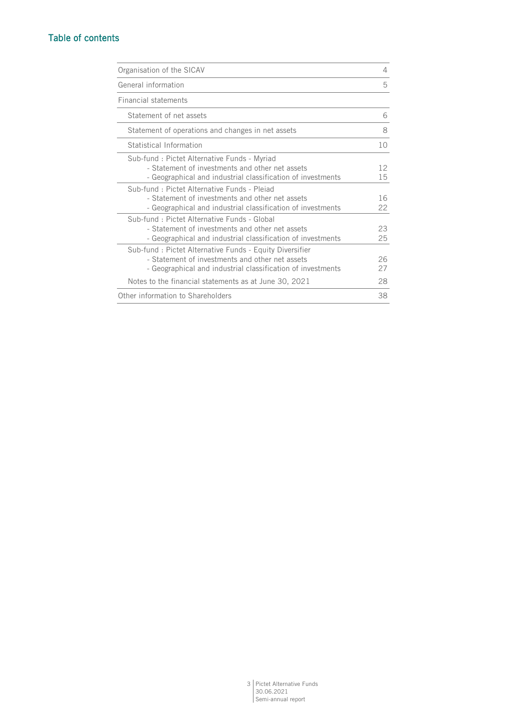# Table of contents

| Organisation of the SICAV                                                                                                                                                 | 4        |
|---------------------------------------------------------------------------------------------------------------------------------------------------------------------------|----------|
| General information                                                                                                                                                       | 5        |
| <b>Financial statements</b>                                                                                                                                               |          |
| Statement of net assets                                                                                                                                                   | 6        |
| Statement of operations and changes in net assets                                                                                                                         | 8        |
| Statistical Information                                                                                                                                                   | 10       |
| Sub-fund: Pictet Alternative Funds - Myriad<br>- Statement of investments and other net assets<br>- Geographical and industrial classification of investments             | 12<br>15 |
| Sub-fund : Pictet Alternative Funds - Plejad<br>- Statement of investments and other net assets<br>- Geographical and industrial classification of investments            | 16<br>22 |
| Sub-fund: Pictet Alternative Funds - Global<br>- Statement of investments and other net assets<br>- Geographical and industrial classification of investments             | 23<br>25 |
| Sub-fund: Pictet Alternative Funds - Equity Diversifier<br>- Statement of investments and other net assets<br>- Geographical and industrial classification of investments | 26<br>27 |
| Notes to the financial statements as at June 30, 2021                                                                                                                     | 28       |
| Other information to Shareholders                                                                                                                                         | 38       |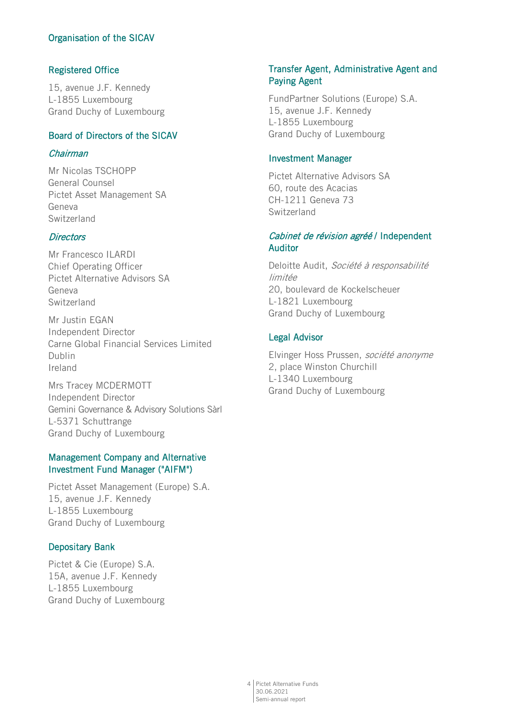# Organisation of the SICAV

# Registered Office

15, avenue J.F. Kennedy L-1855 Luxembourg Grand Duchy of Luxembourg

## Board of Directors of the SICAV

## Chairman

Mr Nicolas TSCHOPP General Counsel Pictet Asset Management SA Geneva Switzerland

## **Directors**

Mr Francesco ILARDI Chief Operating Officer Pictet Alternative Advisors SA Geneva Switzerland

Mr Justin EGAN Independent Director Carne Global Financial Services Limited Dublin Ireland

Mrs Tracey MCDERMOTT Independent Director Gemini Governance & Advisory Solutions Sàrl L-5371 Schuttrange Grand Duchy of Luxembourg

## Management Company and Alternative Investment Fund Manager ("AIFM")

Pictet Asset Management (Europe) S.A. 15, avenue J.F. Kennedy L-1855 Luxembourg Grand Duchy of Luxembourg

## Depositary Bank

Pictet & Cie (Europe) S.A. 15A, avenue J.F. Kennedy L-1855 Luxembourg Grand Duchy of Luxembourg

## Transfer Agent, Administrative Agent and Paying Agent

FundPartner Solutions (Europe) S.A. 15, avenue J.F. Kennedy L-1855 Luxembourg Grand Duchy of Luxembourg

#### Investment Manager

Pictet Alternative Advisors SA 60, route des Acacias CH-1211 Geneva 73 Switzerland

## Cabinet de révision agréé / Independent Auditor

Deloitte Audit, Société à responsabilité limitée 20, boulevard de Kockelscheuer L-1821 Luxembourg Grand Duchy of Luxembourg

## Legal Advisor

Elvinger Hoss Prussen, société anonyme 2, place Winston Churchill L-1340 Luxembourg Grand Duchy of Luxembourg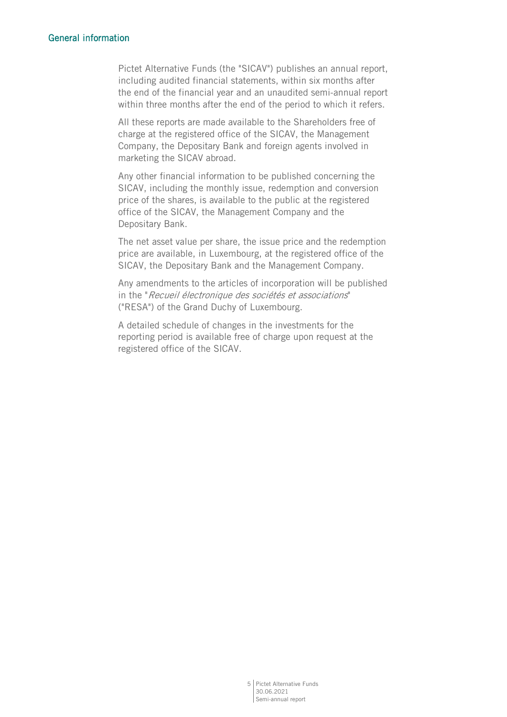## General information

Pictet Alternative Funds (the "SICAV") publishes an annual report, including audited financial statements, within six months after the end of the financial year and an unaudited semi-annual report within three months after the end of the period to which it refers.

All these reports are made available to the Shareholders free of charge at the registered office of the SICAV, the Management Company, the Depositary Bank and foreign agents involved in marketing the SICAV abroad.

Any other financial information to be published concerning the SICAV, including the monthly issue, redemption and conversion price of the shares, is available to the public at the registered office of the SICAV, the Management Company and the Depositary Bank.

The net asset value per share, the issue price and the redemption price are available, in Luxembourg, at the registered office of the SICAV, the Depositary Bank and the Management Company.

Any amendments to the articles of incorporation will be published in the "Recueil électronique des sociétés et associations" ("RESA") of the Grand Duchy of Luxembourg.

A detailed schedule of changes in the investments for the reporting period is available free of charge upon request at the registered office of the SICAV.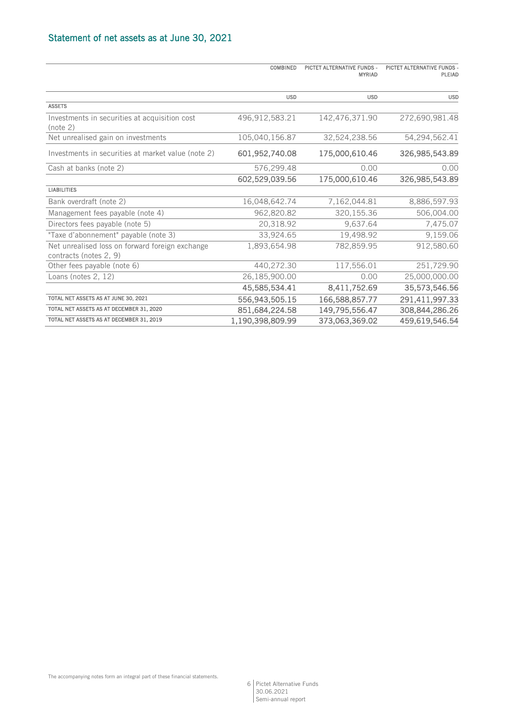|                                                                           | <b>COMBINED</b>  | PICTET ALTERNATIVE FUNDS -<br><b>MYRIAD</b> | PICTET ALTERNATIVE FUNDS -<br>PLEIAD |
|---------------------------------------------------------------------------|------------------|---------------------------------------------|--------------------------------------|
|                                                                           | <b>USD</b>       | <b>USD</b>                                  | <b>USD</b>                           |
| <b>ASSETS</b>                                                             |                  |                                             |                                      |
| Investments in securities at acquisition cost<br>(note 2)                 | 496,912,583.21   | 142,476,371.90                              | 272,690,981.48                       |
| Net unrealised gain on investments                                        | 105,040,156.87   | 32,524,238.56                               | 54,294,562.41                        |
| Investments in securities at market value (note 2)                        | 601,952,740.08   | 175,000,610.46                              | 326,985,543.89                       |
| Cash at banks (note 2)                                                    | 576,299.48       | 0.00                                        | 0.00                                 |
|                                                                           | 602,529,039.56   | 175,000,610.46                              | 326,985,543.89                       |
| <b>LIABILITIES</b>                                                        |                  |                                             |                                      |
| Bank overdraft (note 2)                                                   | 16,048,642.74    | 7,162,044.81                                | 8,886,597.93                         |
| Management fees payable (note 4)                                          | 962,820.82       | 320,155.36                                  | 506,004.00                           |
| Directors fees payable (note 5)                                           | 20,318.92        | 9,637.64                                    | 7,475.07                             |
| "Taxe d'abonnement" payable (note 3)                                      | 33,924.65        | 19,498.92                                   | 9,159.06                             |
| Net unrealised loss on forward foreign exchange<br>contracts (notes 2, 9) | 1,893,654.98     | 782,859.95                                  | 912,580.60                           |
| Other fees payable (note 6)                                               | 440,272.30       | 117,556.01                                  | 251,729.90                           |
| Loans (notes 2, 12)                                                       | 26,185,900.00    | 0.00                                        | 25,000,000.00                        |
|                                                                           | 45,585,534.41    | 8,411,752.69                                | 35,573,546.56                        |
| TOTAL NET ASSETS AS AT JUNE 30, 2021                                      | 556,943,505.15   | 166,588,857.77                              | 291,411,997.33                       |
| TOTAL NET ASSETS AS AT DECEMBER 31, 2020                                  | 851,684,224.58   | 149,795,556.47                              | 308,844,286.26                       |
| TOTAL NET ASSETS AS AT DECEMBER 31, 2019                                  | 1,190,398,809.99 | 373,063,369.02                              | 459,619,546.54                       |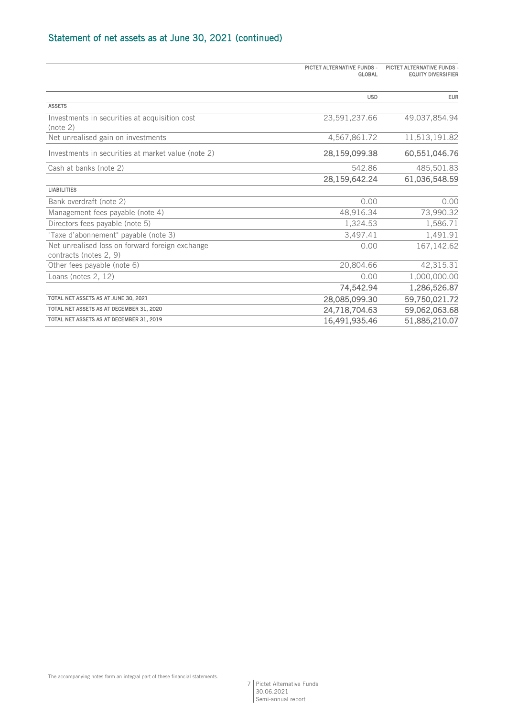# Statement of net assets as at June 30, 2021 (continued)

|                                                                           | PICTET ALTERNATIVE FUNDS -<br><b>GLOBAL</b> | PICTET ALTERNATIVE FUNDS -<br><b>EQUITY DIVERSIFIER</b> |
|---------------------------------------------------------------------------|---------------------------------------------|---------------------------------------------------------|
|                                                                           | <b>USD</b>                                  | <b>EUR</b>                                              |
| <b>ASSETS</b>                                                             |                                             |                                                         |
| Investments in securities at acquisition cost<br>(note 2)                 | 23,591,237.66                               | 49,037,854.94                                           |
| Net unrealised gain on investments                                        | 4,567,861.72                                | 11,513,191.82                                           |
| Investments in securities at market value (note 2)                        | 28,159,099.38                               | 60,551,046.76                                           |
| Cash at banks (note 2)                                                    | 542.86                                      | 485,501.83                                              |
|                                                                           | 28,159,642.24                               | 61,036,548.59                                           |
| <b>LIABILITIES</b>                                                        |                                             |                                                         |
| Bank overdraft (note 2)                                                   | 0.00                                        | 0.00                                                    |
| Management fees payable (note 4)                                          | 48,916.34                                   | 73,990.32                                               |
| Directors fees payable (note 5)                                           | 1,324.53                                    | 1,586.71                                                |
| "Taxe d'abonnement" payable (note 3)                                      | 3,497.41                                    | 1,491.91                                                |
| Net unrealised loss on forward foreign exchange<br>contracts (notes 2, 9) | 0.00                                        | 167, 142.62                                             |
| Other fees payable (note 6)                                               | 20,804.66                                   | 42,315.31                                               |
| Loans (notes 2, 12)                                                       | 0.00                                        | 1,000,000.00                                            |
|                                                                           | 74,542.94                                   | 1,286,526.87                                            |
| TOTAL NET ASSETS AS AT JUNE 30, 2021                                      | 28,085,099.30                               | 59,750,021.72                                           |
| TOTAL NET ASSETS AS AT DECEMBER 31, 2020                                  | 24,718,704.63                               | 59,062,063.68                                           |
| TOTAL NET ASSETS AS AT DECEMBER 31, 2019                                  | 16,491,935.46                               | 51,885,210.07                                           |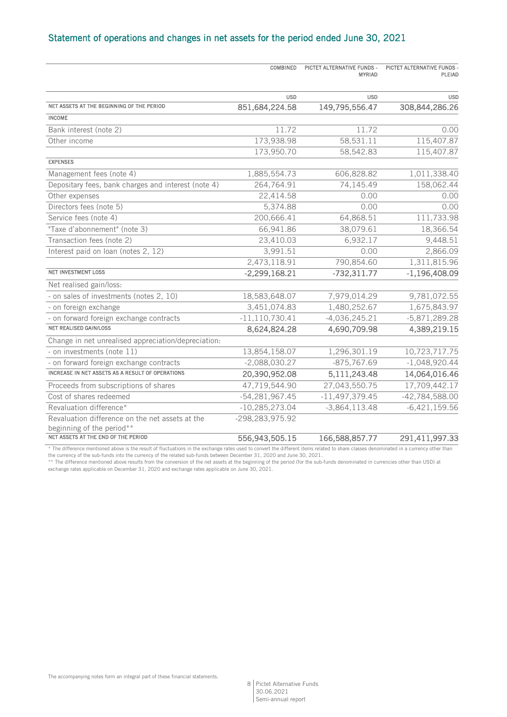# Statement of operations and changes in net assets for the period ended June 30, 2021

|                                                         | <b>COMBINED</b>    | PICTET ALTERNATIVE FUNDS -<br><b>MYRIAD</b> | PICTET ALTERNATIVE FUNDS -<br>PLEIAD |
|---------------------------------------------------------|--------------------|---------------------------------------------|--------------------------------------|
|                                                         | <b>USD</b>         | <b>USD</b>                                  | <b>USD</b>                           |
| NET ASSETS AT THE BEGINNING OF THE PERIOD               | 851,684,224.58     | 149,795,556.47                              | 308,844,286.26                       |
| <b>INCOME</b>                                           |                    |                                             |                                      |
| Bank interest (note 2)                                  | 11.72              | 11.72                                       | 0.00                                 |
| Other income                                            | 173,938.98         | 58,531.11                                   | 115,407.87                           |
|                                                         | 173,950.70         | 58,542.83                                   | 115,407.87                           |
| <b>EXPENSES</b>                                         |                    |                                             |                                      |
| Management fees (note 4)                                | 1,885,554.73       | 606,828.82                                  | 1,011,338.40                         |
| Depositary fees, bank charges and interest (note 4)     | 264,764.91         | 74,145.49                                   | 158,062.44                           |
| Other expenses                                          | 22,414.58          | 0.00                                        | 0.00                                 |
| Directors fees (note 5)                                 | 5,374.88           | 0.00                                        | 0.00                                 |
| Service fees (note 4)                                   | 200,666.41         | 64,868.51                                   | 111,733.98                           |
| "Taxe d'abonnement" (note 3)                            | 66,941.86          | 38,079.61                                   | 18,366.54                            |
| Transaction fees (note 2)                               | 23,410.03          | 6,932.17                                    | 9,448.51                             |
| Interest paid on loan (notes 2, 12)                     | 3,991.51           | 0.00                                        | 2,866.09                             |
|                                                         | 2,473,118.91       | 790,854.60                                  | 1,311,815.96                         |
| <b>NET INVESTMENT LOSS</b>                              | $-2,299,168.21$    | $-732,311.77$                               | $-1,196,408.09$                      |
| Net realised gain/loss:                                 |                    |                                             |                                      |
| - on sales of investments (notes 2, 10)                 | 18,583,648.07      | 7,979,014.29                                | 9,781,072.55                         |
| - on foreign exchange                                   | 3,451,074.83       | 1,480,252.67                                | 1,675,843.97                         |
| - on forward foreign exchange contracts                 | $-11, 110, 730.41$ | $-4,036,245.21$                             | $-5,871,289.28$                      |
| <b>NET REALISED GAIN/LOSS</b>                           | 8,624,824.28       | 4,690,709.98                                | 4,389,219.15                         |
| Change in net unrealised appreciation/depreciation:     |                    |                                             |                                      |
| - on investments (note 11)                              | 13,854,158.07      | 1,296,301.19                                | 10,723,717.75                        |
| - on forward foreign exchange contracts                 | $-2,088,030.27$    | $-875,767.69$                               | $-1,048,920.44$                      |
| <b>INCREASE IN NET ASSETS AS A RESULT OF OPERATIONS</b> | 20,390,952.08      | 5,111,243.48                                | 14,064,016.46                        |
| Proceeds from subscriptions of shares                   | 47,719,544.90      | 27,043,550.75                               | 17,709,442.17                        |
| Cost of shares redeemed                                 | $-54,281,967.45$   | $-11,497,379.45$                            | -42,784,588.00                       |
| Revaluation difference*                                 | $-10,285,273.04$   | $-3,864,113.48$                             | $-6,421,159.56$                      |
| Revaluation difference on the net assets at the         | -298,283,975.92    |                                             |                                      |
| beginning of the period**                               |                    |                                             |                                      |
| NET ASSETS AT THE END OF THE PERIOD                     | 556,943,505.15     | 166,588,857.77                              | 291,411,997.33                       |

\* The difference mentioned above is the result of fluctuations in the exchange rates used to convert the different items related to share classes denominated in a currency other than<br>the currency of the sub-funds into the

\*\* The difference mentioned above results from the conversion of the net assets at the beginning of the period (for the sub-funds denominated in currencies other than USD) at exchange rates applicable on December 31, 2020 and exchange rates applicable on June 30, 2021.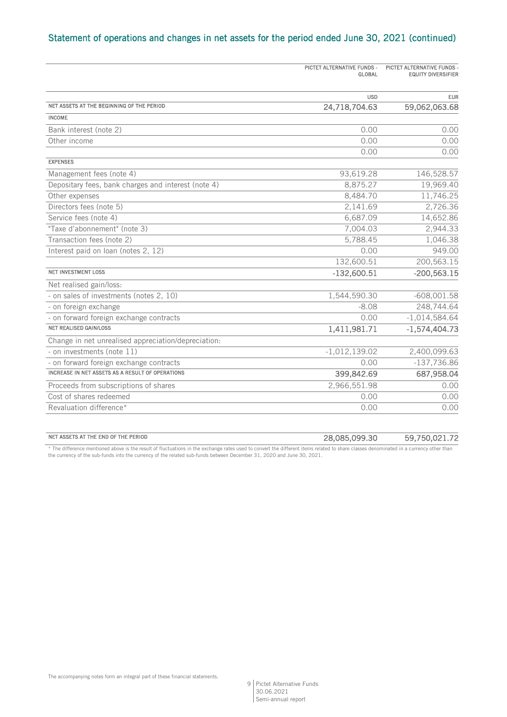# Statement of operations and changes in net assets for the period ended June 30, 2021 (continued)

|                                                     | PICTET ALTERNATIVE FUNDS -<br>GLOBAL | PICTET ALTERNATIVE FUNDS -<br><b>EQUITY DIVERSIFIER</b> |
|-----------------------------------------------------|--------------------------------------|---------------------------------------------------------|
|                                                     |                                      |                                                         |
|                                                     | <b>USD</b>                           | <b>EUR</b>                                              |
| NET ASSETS AT THE BEGINNING OF THE PERIOD           | 24,718,704.63                        | 59,062,063.68                                           |
| <b>INCOME</b>                                       |                                      |                                                         |
| Bank interest (note 2)                              | 0.00                                 | 0.00                                                    |
| Other income                                        | 0.00                                 | 0.00                                                    |
|                                                     | 0.00                                 | 0.00                                                    |
| <b>EXPENSES</b>                                     |                                      |                                                         |
| Management fees (note 4)                            | 93,619.28                            | 146,528.57                                              |
| Depositary fees, bank charges and interest (note 4) | 8,875.27                             | 19,969.40                                               |
| Other expenses                                      | 8,484.70                             | 11,746.25                                               |
| Directors fees (note 5)                             | 2,141.69                             | 2,726.36                                                |
| Service fees (note 4)                               | 6,687.09                             | 14,652.86                                               |
| "Taxe d'abonnement" (note 3)                        | 7,004.03                             | 2,944.33                                                |
| Transaction fees (note 2)                           | 5,788.45                             | 1,046.38                                                |
| Interest paid on loan (notes 2, 12)                 | 0.00                                 | 949.00                                                  |
|                                                     | 132,600.51                           | 200,563.15                                              |
| <b>NET INVESTMENT LOSS</b>                          | $-132,600.51$                        | $-200,563.15$                                           |
| Net realised gain/loss:                             |                                      |                                                         |
| - on sales of investments (notes 2, 10)             | 1,544,590.30                         | $-608,001.58$                                           |
| - on foreign exchange                               | $-8.08$                              | 248,744.64                                              |
| - on forward foreign exchange contracts             | 0.00                                 | $-1,014,584.64$                                         |
| <b>NET REALISED GAIN/LOSS</b>                       | 1,411,981.71                         | $-1,574,404.73$                                         |
| Change in net unrealised appreciation/depreciation: |                                      |                                                         |
| - on investments (note 11)                          | $-1,012,139.02$                      | 2,400,099.63                                            |
| - on forward foreign exchange contracts             | 0.00                                 | $-137,736.86$                                           |
| INCREASE IN NET ASSETS AS A RESULT OF OPERATIONS    | 399,842.69                           | 687,958.04                                              |
| Proceeds from subscriptions of shares               | 2,966,551.98                         | 0.00                                                    |
| Cost of shares redeemed                             | 0.00                                 | 0.00                                                    |
| Revaluation difference*                             | 0.00                                 | 0.00                                                    |
|                                                     |                                      |                                                         |

#### NET ASSETS AT THE END OF THE PERIOD **28,085,099.30** 59,750,021.72

\* The difference mentioned above is the result of fluctuations in the exchange rates used to convert the different items related to share classes denominated in a currency other than the currency of the sub-funds into the currency of the related sub-funds between December 31, 2020 and June 30, 2021.

The accompanying notes form an integral part of these financial statements.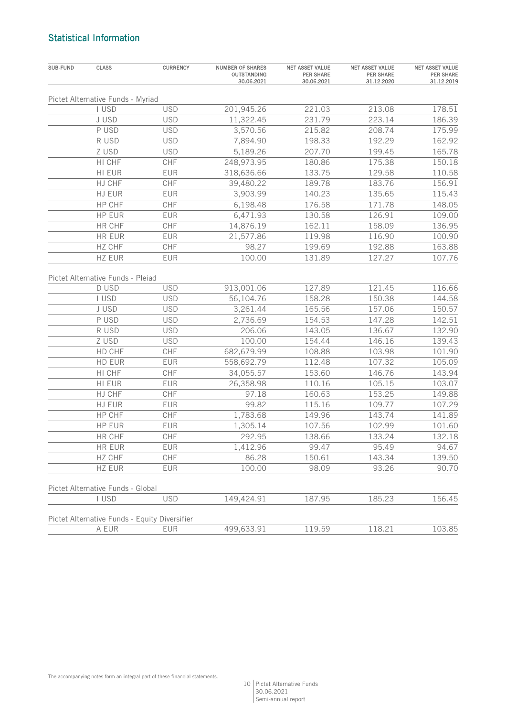# Statistical Information

| Pictet Alternative Funds - Myriad<br>213.08<br>I USD<br><b>USD</b><br>201,945.26<br>221.03<br>223.14<br>J USD<br><b>USD</b><br>11,322.45<br>231.79<br>P USD<br><b>USD</b><br>208.74<br>3,570.56<br>215.82<br>R USD<br><b>USD</b><br>198.33<br>192.29<br>7,894.90<br>Z USD<br><b>USD</b><br>5,189.26<br>207.70<br>199.45<br>HI CHF<br>175.38<br>CHF<br>248,973.95<br>180.86<br>133.75<br>129.58<br>HI EUR<br><b>EUR</b><br>318,636.66<br>HJ CHF<br>CHF<br>189.78<br>183.76<br>39,480.22<br>HJ EUR<br>140.23<br>135.65<br><b>EUR</b><br>3,903.99<br>HP CHF<br>CHF<br>6,198.48<br>176.58<br>171.78<br>HP EUR<br>130.58<br>126.91<br><b>EUR</b><br>6,471.93<br>HR CHF<br>CHF<br>162.11<br>14,876.19<br>158.09<br>HR EUR<br>119.98<br>116.90<br><b>EUR</b><br>21,577.86<br>CHF<br>199.69<br>192.88<br>HZ CHF<br>98.27<br>HZ EUR<br>100.00<br>131.89<br>127.27<br><b>EUR</b><br>Pictet Alternative Funds - Pleiad<br>D USD<br><b>USD</b><br>913,001.06<br>127.89<br>121.45<br>I USD<br><b>USD</b><br>56,104.76<br>158.28<br>150.38<br>157.06<br>J USD<br><b>USD</b><br>3,261.44<br>165.56<br>P USD<br><b>USD</b><br>2,736.69<br>154.53<br>147.28<br>R USD<br><b>USD</b><br>206.06<br>143.05<br>136.67<br>Z USD<br><b>USD</b><br>100.00<br>154.44<br>146.16<br>103.98<br>HD CHF<br>CHF<br>682,679.99<br>108.88<br>112.48<br>107.32<br>HD EUR<br>EUR<br>558,692.79<br>HI CHF<br>CHF<br>153.60<br>146.76<br>34,055.57<br>110.16<br>105.15<br>HI EUR<br><b>EUR</b><br>26,358.98<br>HJ CHF<br>CHF<br>160.63<br>153.25<br>97.18<br>HJ EUR<br>99.82<br>115.16<br>109.77<br>EUR<br>HP CHF<br>CHF<br>1,783.68<br>149.96<br>143.74<br>107.56<br>102.99<br>HP EUR<br><b>EUR</b><br>1,305.14<br>CHF<br>292.95<br>138.66<br>133.24<br>HR CHF | <b>NET ASSET VALUE</b><br><b>PER SHARE</b><br>31.12.2019 |
|---------------------------------------------------------------------------------------------------------------------------------------------------------------------------------------------------------------------------------------------------------------------------------------------------------------------------------------------------------------------------------------------------------------------------------------------------------------------------------------------------------------------------------------------------------------------------------------------------------------------------------------------------------------------------------------------------------------------------------------------------------------------------------------------------------------------------------------------------------------------------------------------------------------------------------------------------------------------------------------------------------------------------------------------------------------------------------------------------------------------------------------------------------------------------------------------------------------------------------------------------------------------------------------------------------------------------------------------------------------------------------------------------------------------------------------------------------------------------------------------------------------------------------------------------------------------------------------------------------------------------------------------------------------------------------------------------------------------------|----------------------------------------------------------|
|                                                                                                                                                                                                                                                                                                                                                                                                                                                                                                                                                                                                                                                                                                                                                                                                                                                                                                                                                                                                                                                                                                                                                                                                                                                                                                                                                                                                                                                                                                                                                                                                                                                                                                                           |                                                          |
|                                                                                                                                                                                                                                                                                                                                                                                                                                                                                                                                                                                                                                                                                                                                                                                                                                                                                                                                                                                                                                                                                                                                                                                                                                                                                                                                                                                                                                                                                                                                                                                                                                                                                                                           | 178.51                                                   |
|                                                                                                                                                                                                                                                                                                                                                                                                                                                                                                                                                                                                                                                                                                                                                                                                                                                                                                                                                                                                                                                                                                                                                                                                                                                                                                                                                                                                                                                                                                                                                                                                                                                                                                                           | 186.39                                                   |
|                                                                                                                                                                                                                                                                                                                                                                                                                                                                                                                                                                                                                                                                                                                                                                                                                                                                                                                                                                                                                                                                                                                                                                                                                                                                                                                                                                                                                                                                                                                                                                                                                                                                                                                           | 175.99                                                   |
|                                                                                                                                                                                                                                                                                                                                                                                                                                                                                                                                                                                                                                                                                                                                                                                                                                                                                                                                                                                                                                                                                                                                                                                                                                                                                                                                                                                                                                                                                                                                                                                                                                                                                                                           | 162.92                                                   |
|                                                                                                                                                                                                                                                                                                                                                                                                                                                                                                                                                                                                                                                                                                                                                                                                                                                                                                                                                                                                                                                                                                                                                                                                                                                                                                                                                                                                                                                                                                                                                                                                                                                                                                                           | 165.78                                                   |
|                                                                                                                                                                                                                                                                                                                                                                                                                                                                                                                                                                                                                                                                                                                                                                                                                                                                                                                                                                                                                                                                                                                                                                                                                                                                                                                                                                                                                                                                                                                                                                                                                                                                                                                           | 150.18                                                   |
|                                                                                                                                                                                                                                                                                                                                                                                                                                                                                                                                                                                                                                                                                                                                                                                                                                                                                                                                                                                                                                                                                                                                                                                                                                                                                                                                                                                                                                                                                                                                                                                                                                                                                                                           | 110.58                                                   |
|                                                                                                                                                                                                                                                                                                                                                                                                                                                                                                                                                                                                                                                                                                                                                                                                                                                                                                                                                                                                                                                                                                                                                                                                                                                                                                                                                                                                                                                                                                                                                                                                                                                                                                                           | 156.91                                                   |
|                                                                                                                                                                                                                                                                                                                                                                                                                                                                                                                                                                                                                                                                                                                                                                                                                                                                                                                                                                                                                                                                                                                                                                                                                                                                                                                                                                                                                                                                                                                                                                                                                                                                                                                           | 115.43                                                   |
|                                                                                                                                                                                                                                                                                                                                                                                                                                                                                                                                                                                                                                                                                                                                                                                                                                                                                                                                                                                                                                                                                                                                                                                                                                                                                                                                                                                                                                                                                                                                                                                                                                                                                                                           | 148.05                                                   |
|                                                                                                                                                                                                                                                                                                                                                                                                                                                                                                                                                                                                                                                                                                                                                                                                                                                                                                                                                                                                                                                                                                                                                                                                                                                                                                                                                                                                                                                                                                                                                                                                                                                                                                                           | 109.00                                                   |
|                                                                                                                                                                                                                                                                                                                                                                                                                                                                                                                                                                                                                                                                                                                                                                                                                                                                                                                                                                                                                                                                                                                                                                                                                                                                                                                                                                                                                                                                                                                                                                                                                                                                                                                           | 136.95                                                   |
|                                                                                                                                                                                                                                                                                                                                                                                                                                                                                                                                                                                                                                                                                                                                                                                                                                                                                                                                                                                                                                                                                                                                                                                                                                                                                                                                                                                                                                                                                                                                                                                                                                                                                                                           | 100.90                                                   |
|                                                                                                                                                                                                                                                                                                                                                                                                                                                                                                                                                                                                                                                                                                                                                                                                                                                                                                                                                                                                                                                                                                                                                                                                                                                                                                                                                                                                                                                                                                                                                                                                                                                                                                                           | 163.88                                                   |
|                                                                                                                                                                                                                                                                                                                                                                                                                                                                                                                                                                                                                                                                                                                                                                                                                                                                                                                                                                                                                                                                                                                                                                                                                                                                                                                                                                                                                                                                                                                                                                                                                                                                                                                           | 107.76                                                   |
|                                                                                                                                                                                                                                                                                                                                                                                                                                                                                                                                                                                                                                                                                                                                                                                                                                                                                                                                                                                                                                                                                                                                                                                                                                                                                                                                                                                                                                                                                                                                                                                                                                                                                                                           |                                                          |
|                                                                                                                                                                                                                                                                                                                                                                                                                                                                                                                                                                                                                                                                                                                                                                                                                                                                                                                                                                                                                                                                                                                                                                                                                                                                                                                                                                                                                                                                                                                                                                                                                                                                                                                           | 116.66                                                   |
|                                                                                                                                                                                                                                                                                                                                                                                                                                                                                                                                                                                                                                                                                                                                                                                                                                                                                                                                                                                                                                                                                                                                                                                                                                                                                                                                                                                                                                                                                                                                                                                                                                                                                                                           | 144.58                                                   |
|                                                                                                                                                                                                                                                                                                                                                                                                                                                                                                                                                                                                                                                                                                                                                                                                                                                                                                                                                                                                                                                                                                                                                                                                                                                                                                                                                                                                                                                                                                                                                                                                                                                                                                                           | 150.57                                                   |
|                                                                                                                                                                                                                                                                                                                                                                                                                                                                                                                                                                                                                                                                                                                                                                                                                                                                                                                                                                                                                                                                                                                                                                                                                                                                                                                                                                                                                                                                                                                                                                                                                                                                                                                           | 142.51                                                   |
|                                                                                                                                                                                                                                                                                                                                                                                                                                                                                                                                                                                                                                                                                                                                                                                                                                                                                                                                                                                                                                                                                                                                                                                                                                                                                                                                                                                                                                                                                                                                                                                                                                                                                                                           | 132.90                                                   |
|                                                                                                                                                                                                                                                                                                                                                                                                                                                                                                                                                                                                                                                                                                                                                                                                                                                                                                                                                                                                                                                                                                                                                                                                                                                                                                                                                                                                                                                                                                                                                                                                                                                                                                                           | 139.43                                                   |
|                                                                                                                                                                                                                                                                                                                                                                                                                                                                                                                                                                                                                                                                                                                                                                                                                                                                                                                                                                                                                                                                                                                                                                                                                                                                                                                                                                                                                                                                                                                                                                                                                                                                                                                           | 101.90                                                   |
|                                                                                                                                                                                                                                                                                                                                                                                                                                                                                                                                                                                                                                                                                                                                                                                                                                                                                                                                                                                                                                                                                                                                                                                                                                                                                                                                                                                                                                                                                                                                                                                                                                                                                                                           | 105.09                                                   |
|                                                                                                                                                                                                                                                                                                                                                                                                                                                                                                                                                                                                                                                                                                                                                                                                                                                                                                                                                                                                                                                                                                                                                                                                                                                                                                                                                                                                                                                                                                                                                                                                                                                                                                                           | 143.94                                                   |
|                                                                                                                                                                                                                                                                                                                                                                                                                                                                                                                                                                                                                                                                                                                                                                                                                                                                                                                                                                                                                                                                                                                                                                                                                                                                                                                                                                                                                                                                                                                                                                                                                                                                                                                           | 103.07                                                   |
|                                                                                                                                                                                                                                                                                                                                                                                                                                                                                                                                                                                                                                                                                                                                                                                                                                                                                                                                                                                                                                                                                                                                                                                                                                                                                                                                                                                                                                                                                                                                                                                                                                                                                                                           | 149.88                                                   |
|                                                                                                                                                                                                                                                                                                                                                                                                                                                                                                                                                                                                                                                                                                                                                                                                                                                                                                                                                                                                                                                                                                                                                                                                                                                                                                                                                                                                                                                                                                                                                                                                                                                                                                                           | 107.29                                                   |
|                                                                                                                                                                                                                                                                                                                                                                                                                                                                                                                                                                                                                                                                                                                                                                                                                                                                                                                                                                                                                                                                                                                                                                                                                                                                                                                                                                                                                                                                                                                                                                                                                                                                                                                           | 141.89                                                   |
|                                                                                                                                                                                                                                                                                                                                                                                                                                                                                                                                                                                                                                                                                                                                                                                                                                                                                                                                                                                                                                                                                                                                                                                                                                                                                                                                                                                                                                                                                                                                                                                                                                                                                                                           | 101.60                                                   |
|                                                                                                                                                                                                                                                                                                                                                                                                                                                                                                                                                                                                                                                                                                                                                                                                                                                                                                                                                                                                                                                                                                                                                                                                                                                                                                                                                                                                                                                                                                                                                                                                                                                                                                                           | 132.18                                                   |
| HR EUR<br>EUR<br>1,412.96<br>99.47<br>95.49                                                                                                                                                                                                                                                                                                                                                                                                                                                                                                                                                                                                                                                                                                                                                                                                                                                                                                                                                                                                                                                                                                                                                                                                                                                                                                                                                                                                                                                                                                                                                                                                                                                                               | 94.67                                                    |
| HZ CHF<br>CHF<br>86.28<br>150.61<br>143.34                                                                                                                                                                                                                                                                                                                                                                                                                                                                                                                                                                                                                                                                                                                                                                                                                                                                                                                                                                                                                                                                                                                                                                                                                                                                                                                                                                                                                                                                                                                                                                                                                                                                                | 139.50                                                   |
| 93.26<br>HZ EUR<br>EUR<br>100.00<br>98.09                                                                                                                                                                                                                                                                                                                                                                                                                                                                                                                                                                                                                                                                                                                                                                                                                                                                                                                                                                                                                                                                                                                                                                                                                                                                                                                                                                                                                                                                                                                                                                                                                                                                                 | 90.70                                                    |
| Pictet Alternative Funds - Global                                                                                                                                                                                                                                                                                                                                                                                                                                                                                                                                                                                                                                                                                                                                                                                                                                                                                                                                                                                                                                                                                                                                                                                                                                                                                                                                                                                                                                                                                                                                                                                                                                                                                         |                                                          |
| <b>USD</b><br>I USD<br>149,424.91<br>187.95<br>185.23                                                                                                                                                                                                                                                                                                                                                                                                                                                                                                                                                                                                                                                                                                                                                                                                                                                                                                                                                                                                                                                                                                                                                                                                                                                                                                                                                                                                                                                                                                                                                                                                                                                                     | 156.45                                                   |
| Pictet Alternative Funds - Equity Diversifier                                                                                                                                                                                                                                                                                                                                                                                                                                                                                                                                                                                                                                                                                                                                                                                                                                                                                                                                                                                                                                                                                                                                                                                                                                                                                                                                                                                                                                                                                                                                                                                                                                                                             |                                                          |
| 499,633.91<br>A EUR<br>EUR<br>119.59<br>118.21                                                                                                                                                                                                                                                                                                                                                                                                                                                                                                                                                                                                                                                                                                                                                                                                                                                                                                                                                                                                                                                                                                                                                                                                                                                                                                                                                                                                                                                                                                                                                                                                                                                                            | 103.85                                                   |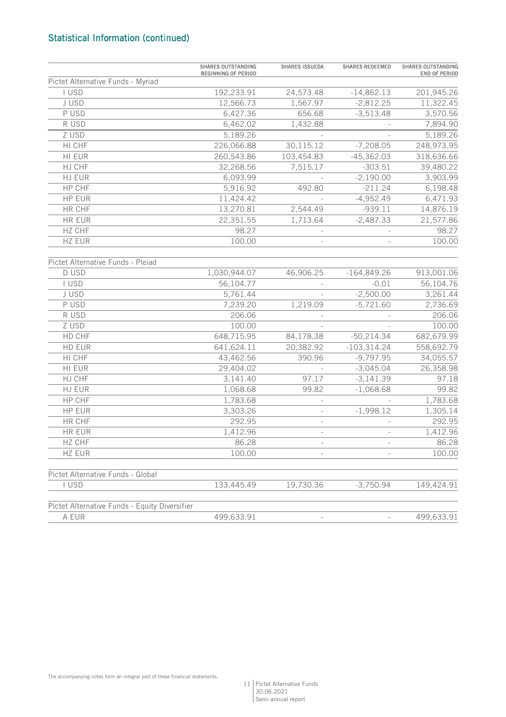# Statistical Information (continued)

|                                               | <b>SHARES OUTSTANDING</b><br><b>BEGINNING OF PERIOD</b> | <b>SHARES ISSUEDA</b> | <b>SHARES REDEEMED</b> | <b>SHARES OUTSTANDING</b><br>END OF PERIOD |
|-----------------------------------------------|---------------------------------------------------------|-----------------------|------------------------|--------------------------------------------|
| Pictet Alternative Funds - Myriad             |                                                         |                       |                        |                                            |
| I USD                                         | 192,233.91                                              | 24,573.48             | $-14,862.13$           | 201,945.26                                 |
| J USD                                         | 12,566.73                                               | 1,567.97              | $-2,812.25$            | 11,322.45                                  |
| P USD                                         | 6,427.36                                                | 656.68                | $-3,513.48$            | 3,570.56                                   |
| R USD                                         | 6,462.02                                                | 1,432.88              |                        | 7,894.90                                   |
| Z USD                                         | 5,189.26                                                |                       |                        | 5,189.26                                   |
| HI CHF                                        | 226,066.88                                              | 30,115.12             | $-7,208.05$            | 248,973.95                                 |
| HI EUR                                        | 260,543.86                                              | 103,454.83            | $-45,362.03$           | 318,636.66                                 |
| HJ CHF                                        | 32,268.56                                               | 7,515.17              | $-303.51$              | 39,480.22                                  |
| HJ EUR                                        | 6,093.99                                                |                       | $-2,190.00$            | 3,903.99                                   |
| HP CHF                                        | 5,916.92                                                | 492.80                | $-211.24$              | 6,198.48                                   |
| <b>HP EUR</b>                                 | 11,424.42                                               |                       | $-4,952.49$            | 6,471.93                                   |
| HR CHF                                        | 13,270.81                                               | 2,544.49              | $-939.11$              | 14,876.19                                  |
| HR EUR                                        | 22,351.55                                               | 1,713.64              | $-2,487.33$            | 21,577.86                                  |
| HZ CHF                                        | 98.27                                                   |                       |                        | 98.27                                      |
| HZ EUR                                        | 100.00                                                  |                       |                        | 100.00                                     |
| Pictet Alternative Funds - Pleiad             |                                                         |                       |                        |                                            |
| D USD                                         | 1,030,944.07                                            | 46,906.25             | $-164,849.26$          | 913,001.06                                 |
| I USD                                         | 56,104.77                                               |                       | $-0.01$                | 56,104.76                                  |
| J USD                                         | 5,761.44                                                |                       | $-2,500.00$            | 3,261.44                                   |
| P USD                                         | 7,239.20                                                | 1,219.09              | $-5,721.60$            | 2,736.69                                   |
| R USD                                         | 206.06                                                  |                       |                        | 206.06                                     |
| Z USD                                         | 100.00                                                  |                       |                        | 100.00                                     |
| HD CHF                                        | 648,715.95                                              | 84,178.38             | $-50,214.34$           | 682,679.99                                 |
| HD EUR                                        | 641,624.11                                              | 20,382.92             | $-103,314.24$          | 558,692.79                                 |
| HI CHF                                        | 43,462.56                                               | 390.96                | $-9,797.95$            | 34,055.57                                  |
| HI EUR                                        | 29,404.02                                               |                       | $-3,045.04$            | 26,358.98                                  |
| HJ CHF                                        | 3,141.40                                                | 97.17                 | $-3,141.39$            | 97.18                                      |
| HJ EUR                                        | 1,068.68                                                | 99.82                 | $-1,068.68$            | 99.82                                      |
| HP CHF                                        | 1,783.68                                                |                       |                        | 1,783.68                                   |
| <b>HP EUR</b>                                 | 3,303.26                                                |                       | $-1,998.12$            | 1,305.14                                   |
| HR CHF                                        | 292.95                                                  |                       |                        | 292.95                                     |
| HR EUR                                        | 1,412.96                                                |                       |                        | 1,412.96                                   |
| <b>HZ CHF</b>                                 | 86.28                                                   |                       |                        | 86.28                                      |
| HZ EUR                                        | 100.00                                                  |                       |                        | 100.00                                     |
| Pictet Alternative Funds - Global             |                                                         |                       |                        |                                            |
| I USD                                         | 133,445.49                                              | 19,730.36             | $-3,750.94$            | 149,424.91                                 |
| Pictet Alternative Funds - Equity Diversifier |                                                         |                       |                        |                                            |
| A EUR                                         | 499,633.91                                              |                       |                        | 499,633.91                                 |

The accompanying notes form an integral part of these financial statements.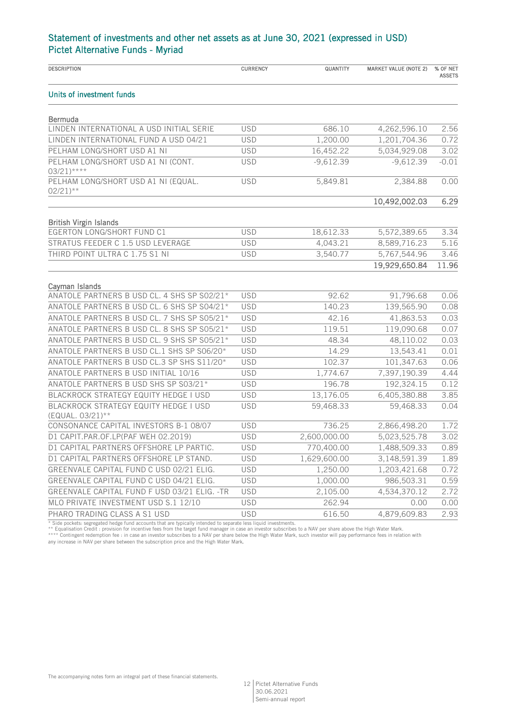| <b>DESCRIPTION</b>                                            | <b>CURRENCY</b> | QUANTITY     | <b>MARKET VALUE (NOTE 2)</b> | % OF NET<br><b>ASSETS</b> |
|---------------------------------------------------------------|-----------------|--------------|------------------------------|---------------------------|
| Units of investment funds                                     |                 |              |                              |                           |
| <b>Bermuda</b>                                                |                 |              |                              |                           |
| LINDEN INTERNATIONAL A USD INITIAL SERIE                      | <b>USD</b>      | 686.10       | 4,262,596.10                 | 2.56                      |
| LINDEN INTERNATIONAL FUND A USD 04/21                         | <b>USD</b>      | 1,200.00     | 1,201,704.36                 | 0.72                      |
| PELHAM LONG/SHORT USD A1 NI                                   | <b>USD</b>      | 16,452.22    | 5,034,929.08                 | 3.02                      |
| PELHAM LONG/SHORT USD A1 NI (CONT.<br>$03/21$ <sup>****</sup> | <b>USD</b>      | $-9,612.39$  | $-9,612.39$                  | $-0.01$                   |
| PELHAM LONG/SHORT USD A1 NI (EQUAL.<br>$02/21$ <sup>**</sup>  | <b>USD</b>      | 5,849.81     | 2,384.88                     | 0.00                      |
|                                                               |                 |              | 10,492,002.03                | 6.29                      |
| <b>British Virgin Islands</b>                                 |                 |              |                              |                           |
| <b>EGERTON LONG/SHORT FUND C1</b>                             | <b>USD</b>      | 18,612.33    | 5,572,389.65                 | 3.34                      |
| STRATUS FEEDER C 1.5 USD LEVERAGE                             | <b>USD</b>      | 4,043.21     | 8,589,716.23                 | 5.16                      |
| THIRD POINT ULTRA C 1.75 S1 NI                                | <b>USD</b>      | 3,540.77     | 5,767,544.96                 | 3.46                      |
|                                                               |                 |              | 19,929,650.84                | 11.96                     |
| Cayman Islands                                                |                 |              |                              |                           |
| ANATOLE PARTNERS B USD CL. 4 SHS SP S02/21*                   | <b>USD</b>      | 92.62        | 91,796.68                    | 0.06                      |
| ANATOLE PARTNERS B USD CL. 6 SHS SP S04/21*                   | <b>USD</b>      | 140.23       | 139,565.90                   | 0.08                      |
| ANATOLE PARTNERS B USD CL. 7 SHS SP S05/21*                   | <b>USD</b>      | 42.16        | 41,863.53                    | 0.03                      |
| ANATOLE PARTNERS B USD CL. 8 SHS SP S05/21*                   | <b>USD</b>      | 119.51       | 119,090.68                   | 0.07                      |
| ANATOLE PARTNERS B USD CL. 9 SHS SP S05/21*                   | <b>USD</b>      | 48.34        | 48,110.02                    | 0.03                      |
| ANATOLE PARTNERS B USD CL.1 SHS SP S06/20*                    | <b>USD</b>      | 14.29        | 13,543.41                    | 0.01                      |
| ANATOLE PARTNERS B USD CL.3 SP SHS S11/20*                    | <b>USD</b>      | 102.37       | 101,347.63                   | 0.06                      |
| ANATOLE PARTNERS B USD INITIAL 10/16                          | <b>USD</b>      | 1,774.67     | 7,397,190.39                 | 4.44                      |
| ANATOLE PARTNERS B USD SHS SP S03/21*                         | <b>USD</b>      | 196.78       | 192,324.15                   | 0.12                      |
| BLACKROCK STRATEGY EQUITY HEDGE I USD                         | <b>USD</b>      | 13,176.05    | 6,405,380.88                 | 3.85                      |
| BLACKROCK STRATEGY EQUITY HEDGE I USD<br>(EQUAL. 03/21)**     | <b>USD</b>      | 59,468.33    | 59,468.33                    | 0.04                      |
| CONSONANCE CAPITAL INVESTORS B-1 08/07                        | <b>USD</b>      | 736.25       | 2,866,498.20                 | 1.72                      |
| D1 CAPIT.PAR.OF.LP(PAF WEH 02.2019)                           | <b>USD</b>      | 2,600,000.00 | 5,023,525.78                 | 3.02                      |
| D1 CAPITAL PARTNERS OFFSHORE LP PARTIC.                       | <b>USD</b>      | 770,400.00   | 1,488,509.33                 | 0.89                      |
| D1 CAPITAL PARTNERS OFFSHORE LP STAND.                        | <b>USD</b>      | 1,629,600.00 | 3,148,591.39                 | 1.89                      |
| GREENVALE CAPITAL FUND C USD 02/21 ELIG.                      | <b>USD</b>      | 1,250.00     | 1,203,421.68                 | 0.72                      |
| GREENVALE CAPITAL FUND C USD 04/21 ELIG.                      | <b>USD</b>      | 1,000.00     | 986,503.31                   | 0.59                      |
| GREENVALE CAPITAL FUND F USD 03/21 ELIG. - TR                 | <b>USD</b>      | 2,105.00     | 4,534,370.12                 | 2.72                      |
| MLO PRIVATE INVESTMENT USD S.1 12/10                          | <b>USD</b>      | 262.94       | 0.00                         | 0.00                      |
| PHARO TRADING CLASS A S1 USD                                  | <b>USD</b>      | 616.50       | 4,879,609.83                 | 2.93                      |

\* Side pockets: segregated hedge fund accounts that are typically intended to separate less liquid investments.<br>\*\* Equalisation Credit : provision for incentive fees from the target fund manager in case an investor subscri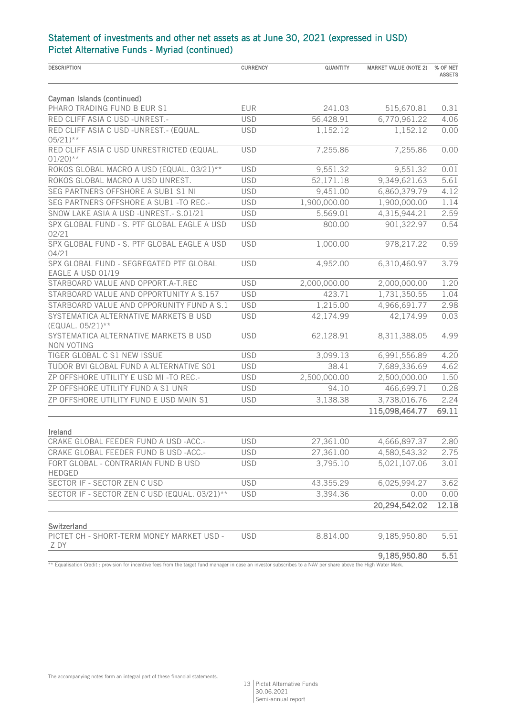| <b>DESCRIPTION</b>                                                 | <b>CURRENCY</b> | QUANTITY     | <b>MARKET VALUE (NOTE 2)</b> | % OF NET<br><b>ASSETS</b> |
|--------------------------------------------------------------------|-----------------|--------------|------------------------------|---------------------------|
|                                                                    |                 |              |                              |                           |
| Cayman Islands (continued)<br>PHARO TRADING FUND B EUR S1          | <b>EUR</b>      | 241.03       | 515,670.81                   | 0.31                      |
| RED CLIFF ASIA C USD -UNREST.-                                     | <b>USD</b>      | 56,428.91    | 6,770,961.22                 | 4.06                      |
| RED CLIFF ASIA C USD -UNREST.- (EQUAL.                             |                 |              |                              |                           |
| $05/21$ <sup>**</sup>                                              | <b>USD</b>      | 1,152.12     | 1,152.12                     | 0.00                      |
| RED CLIFF ASIA C USD UNRESTRICTED (EQUAL.<br>$01/20$ <sup>**</sup> | <b>USD</b>      | 7,255.86     | 7,255.86                     | 0.00                      |
| ROKOS GLOBAL MACRO A USD (EQUAL. 03/21)**                          | <b>USD</b>      | 9,551.32     | 9,551.32                     | 0.01                      |
| ROKOS GLOBAL MACRO A USD UNREST.                                   | <b>USD</b>      | 52,171.18    | 9,349,621.63                 | 5.61                      |
| SEG PARTNERS OFFSHORE A SUB1 S1 NI                                 | <b>USD</b>      | 9,451.00     | 6,860,379.79                 | 4.12                      |
| SEG PARTNERS OFFSHORE A SUB1 -TO REC .-                            | <b>USD</b>      | 1,900,000.00 | 1,900,000.00                 | 1.14                      |
| SNOW LAKE ASIA A USD -UNREST.- S.01/21                             | <b>USD</b>      | 5,569.01     | 4,315,944.21                 | 2.59                      |
| SPX GLOBAL FUND - S. PTF GLOBAL EAGLE A USD                        | <b>USD</b>      | 800.00       | 901,322.97                   | 0.54                      |
| 02/21                                                              |                 |              |                              |                           |
| SPX GLOBAL FUND - S. PTF GLOBAL EAGLE A USD<br>04/21               | <b>USD</b>      | 1,000.00     | 978,217.22                   | 0.59                      |
| SPX GLOBAL FUND - SEGREGATED PTF GLOBAL                            | <b>USD</b>      | 4,952.00     | 6,310,460.97                 | 3.79                      |
| EAGLE A USD 01/19<br>STARBOARD VALUE AND OPPORT.A-T.REC            | <b>USD</b>      | 2,000,000.00 |                              | 1.20                      |
|                                                                    |                 |              | 2,000,000.00                 |                           |
| STARBOARD VALUE AND OPPORTUNITY A S.157                            | <b>USD</b>      | 423.71       | 1,731,350.55                 | 1.04                      |
| STARBOARD VALUE AND OPPORUNITY FUND A S.1                          | <b>USD</b>      | 1,215.00     | 4,966,691.77                 | 2.98                      |
| SYSTEMATICA ALTERNATIVE MARKETS B USD<br>(EQUAL. 05/21)**          | <b>USD</b>      | 42,174.99    | 42,174.99                    | 0.03                      |
| SYSTEMATICA ALTERNATIVE MARKETS B USD                              | <b>USD</b>      | 62,128.91    | 8,311,388.05                 | 4.99                      |
| NON VOTING<br>TIGER GLOBAL C S1 NEW ISSUE                          | <b>USD</b>      | 3,099.13     | 6,991,556.89                 | 4.20                      |
| TUDOR BVI GLOBAL FUND A ALTERNATIVE S01                            | <b>USD</b>      | 38.41        | 7,689,336.69                 | 4.62                      |
| ZP OFFSHORE UTILITY E USD MI-TO REC .-                             | <b>USD</b>      | 2,500,000.00 | 2,500,000.00                 | 1.50                      |
| ZP OFFSHORE UTILITY FUND A S1 UNR                                  | <b>USD</b>      | 94.10        | 466,699.71                   | 0.28                      |
|                                                                    |                 |              |                              |                           |
| ZP OFFSHORE UTILITY FUND E USD MAIN S1                             | <b>USD</b>      | 3,138.38     | 3,738,016.76                 | 2.24                      |
|                                                                    |                 |              | 115,098,464.77               | 69.11                     |
| Ireland                                                            |                 |              |                              |                           |
| CRAKE GLOBAL FEEDER FUND A USD -ACC.-                              | <b>USD</b>      | 27,361.00    | 4,666,897.37                 | 2.80                      |
| CRAKE GLOBAL FEEDER FUND B USD -ACC.-                              | <b>USD</b>      | 27,361.00    | 4,580,543.32                 | 2.75                      |
| FORT GLOBAL - CONTRARIAN FUND B USD<br><b>HEDGED</b>               | <b>USD</b>      | 3,795.10     | 5,021,107.06                 | 3.01                      |
| SECTOR IF - SECTOR ZEN C USD                                       | <b>USD</b>      | 43,355.29    | 6,025,994.27                 | 3.62                      |
| SECTOR IF - SECTOR ZEN C USD (EQUAL. 03/21)**                      | <b>USD</b>      | 3,394.36     | 0.00                         | 0.00                      |
|                                                                    |                 |              | 20,294,542.02                | 12.18                     |
| Switzerland                                                        |                 |              |                              |                           |
| PICTET CH - SHORT-TERM MONEY MARKET USD -<br>Z DY                  | <b>USD</b>      | 8,814.00     | 9,185,950.80                 | 5.51                      |
|                                                                    |                 |              | 9,185,950.80                 | 5.51                      |

\*\* Equalisation Credit : provision for incentive fees from the target fund manager in case an investor subscribes to a NAV per share above the High Water Mark.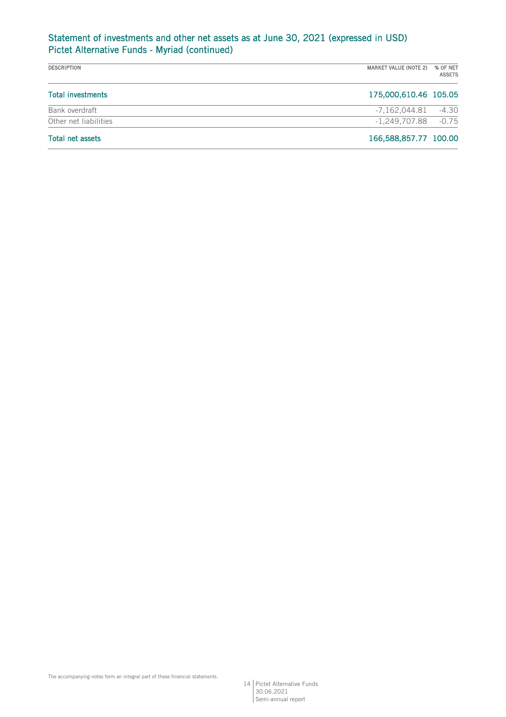| <b>DESCRIPTION</b>       | MARKET VALUE (NOTE 2)  | % OF NET<br><b>ASSETS</b> |
|--------------------------|------------------------|---------------------------|
| <b>Total investments</b> | 175,000,610.46 105.05  |                           |
| Bank overdraft           | -7,162,044.81          | $-4.30$                   |
| Other net liabilities    | $-1.249.707.88 - 0.75$ |                           |
| <b>Total net assets</b>  | 166,588,857.77 100.00  |                           |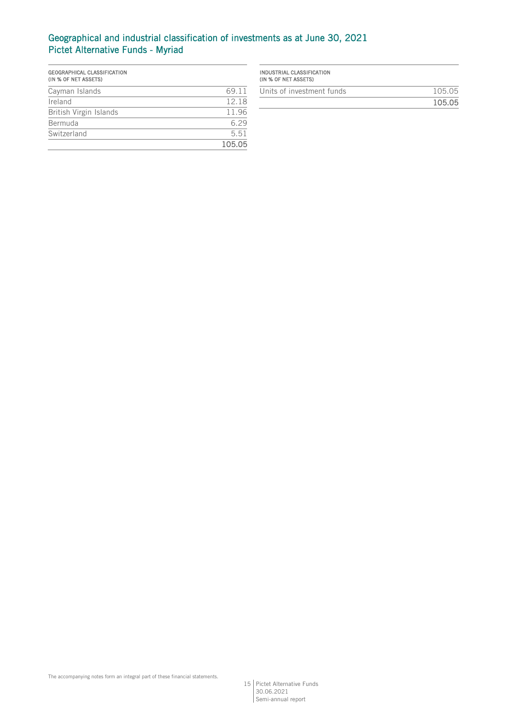# Geographical and industrial classification of investments as at June 30, 2021 Pictet Alternative Funds - Myriad

| GEOGRAPHICAL CLASSIFICATION<br>(IN % OF NET ASSETS) |        |
|-----------------------------------------------------|--------|
| Cayman Islands                                      | 69 11  |
| Ireland                                             | 12.18  |
| British Virgin Islands                              | 11.96  |
| Bermuda                                             | 629    |
| Switzerland                                         | 5.51   |
|                                                     | 105.05 |

| 105.05 |
|--------|
| 105.05 |
|        |

15 Pictet Alternative Funds 30.06.2021 Semi-annual report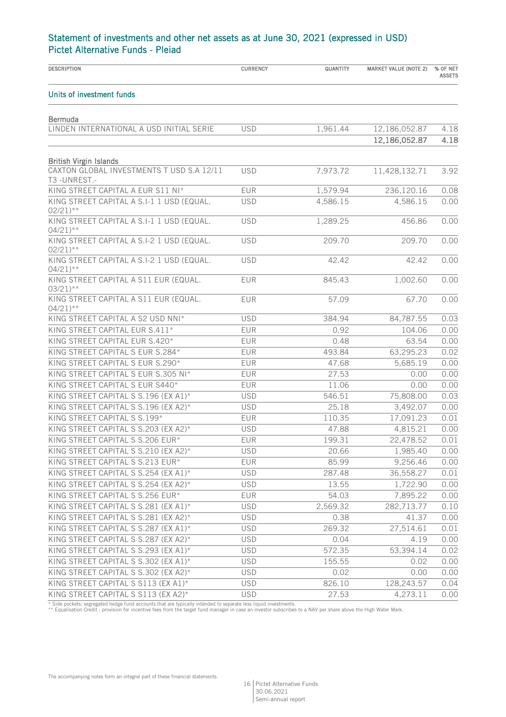| <b>DESCRIPTION</b>                                                 | <b>CURRENCY</b> | QUANTITY | <b>MARKET VALUE (NOTE 2)</b> | % OF NET<br><b>ASSETS</b> |
|--------------------------------------------------------------------|-----------------|----------|------------------------------|---------------------------|
| Units of investment funds                                          |                 |          |                              |                           |
| <b>Bermuda</b>                                                     |                 |          |                              |                           |
| LINDEN INTERNATIONAL A USD INITIAL SERIE                           | <b>USD</b>      | 1,961.44 | 12,186,052.87                | 4.18                      |
|                                                                    |                 |          | 12,186,052.87                | 4.18                      |
| <b>British Virgin Islands</b>                                      |                 |          |                              |                           |
| CAXTON GLOBAL INVESTMENTS T USD S.A 12/11<br>T3-UNREST.-           | <b>USD</b>      | 7,973.72 | 11,428,132.71                | 3.92                      |
| KING STREET CAPITAL A EUR S11 NI*                                  | <b>EUR</b>      | 1,579.94 | 236,120.16                   | 0.08                      |
| KING STREET CAPITAL A S.I-1 1 USD (EQUAL.<br>$02/21$ <sup>**</sup> | <b>USD</b>      | 4,586.15 | 4,586.15                     | 0.00                      |
| KING STREET CAPITAL A S.I-1 1 USD (EQUAL.<br>$04/21$ <sup>**</sup> | <b>USD</b>      | 1,289.25 | 456.86                       | 0.00                      |
| KING STREET CAPITAL A S.I-2 1 USD (EQUAL.<br>$02/21$ <sup>**</sup> | <b>USD</b>      | 209.70   | 209.70                       | 0.00                      |
| KING STREET CAPITAL A S.I-2 1 USD (EQUAL.<br>$04/21$ <sup>**</sup> | <b>USD</b>      | 42.42    | 42.42                        | 0.00                      |
| KING STREET CAPITAL A S11 EUR (EQUAL.<br>$03/21$ <sup>**</sup>     | <b>EUR</b>      | 845.43   | 1,002.60                     | 0.00                      |
| KING STREET CAPITAL A S11 EUR (EQUAL.<br>$04/21$ <sup>**</sup>     | <b>EUR</b>      | 57.09    | 67.70                        | 0.00                      |
| KING STREET CAPITAL A S2 USD NNI*                                  | <b>USD</b>      | 384.94   | 84,787.55                    | 0.03                      |
| KING STREET CAPITAL EUR S.411*                                     | <b>EUR</b>      | 0.92     | 104.06                       | 0.00                      |
| KING STREET CAPITAL EUR S.420*                                     | <b>EUR</b>      | 0.48     | 63.54                        | 0.00                      |
| KING STREET CAPITAL S EUR S.284*                                   | EUR             | 493.84   | 63,295.23                    | 0.02                      |
| KING STREET CAPITAL S EUR S.290*                                   | EUR             | 47.68    | 5,685.19                     | 0.00                      |
| KING STREET CAPITAL S EUR S.305 NI*                                | <b>EUR</b>      | 27.53    | 0.00                         | 0.00                      |
| KING STREET CAPITAL S EUR S440*                                    | <b>EUR</b>      | 11.06    | 0.00                         | 0.00                      |
| KING STREET CAPITAL S S.196 (EX A1)*                               | <b>USD</b>      | 546.51   | 75,808.00                    | 0.03                      |
| KING STREET CAPITAL S S.196 (EX A2)*                               | <b>USD</b>      | 25.18    | 3,492.07                     | 0.00                      |
| KING STREET CAPITAL S S.199*                                       | EUR             | 110.35   | 17,091.23                    | 0.01                      |
| KING STREET CAPITAL S S.203 (EX A2)*                               | <b>USD</b>      | 47.88    | 4,815.21                     | 0.00                      |
| KING STREET CAPITAL S S.206 EUR*                                   | <b>EUR</b>      | 199.31   | 22,478.52                    | 0.01                      |
| KING STREET CAPITAL S S.210 (EX A2)*                               | <b>USD</b>      | 20.66    | 1,985.40                     | 0.00                      |
| KING STREET CAPITAL S S.213 EUR*                                   | <b>EUR</b>      | 85.99    | 9,256.46                     | 0.00                      |
| KING STREET CAPITAL S S.254 (EX A1)*                               | <b>USD</b>      | 287.48   | 36,558.27                    | 0.01                      |
| KING STREET CAPITAL S S.254 (EX A2)*                               | <b>USD</b>      | 13.55    | 1,722.90                     | 0.00                      |
| KING STREET CAPITAL S S.256 EUR*                                   | EUR             | 54.03    | 7,895.22                     | 0.00                      |
| KING STREET CAPITAL S S.281 (EX A1)*                               | <b>USD</b>      | 2,569.32 | 282,713.77                   | 0.10                      |
| KING STREET CAPITAL S S.281 (EX A2)*                               | <b>USD</b>      | 0.38     | 41.37                        | 0.00                      |
| KING STREET CAPITAL S S.287 (EX A1)*                               | <b>USD</b>      | 269.32   | 27,514.61                    | 0.01                      |
| KING STREET CAPITAL S S.287 (EX A2)*                               | <b>USD</b>      | 0.04     | 4.19                         | 0.00                      |
| KING STREET CAPITAL S S.293 (EX A1)*                               | <b>USD</b>      | 572.35   | 53,394.14                    | 0.02                      |
| KING STREET CAPITAL S S.302 (EX A1)*                               | <b>USD</b>      | 155.55   | 0.02                         | 0.00                      |
| KING STREET CAPITAL S S.302 (EX A2)*                               | <b>USD</b>      | 0.02     | 0.00                         | 0.00                      |
| KING STREET CAPITAL S S113 (EX A1)*                                | <b>USD</b>      | 826.10   | 128,243.57                   | 0.04                      |
| KING STREET CAPITAL S S113 (EX A2)*                                | <b>USD</b>      | 27.53    | 4,273.11                     | 0.00                      |

\* Side pockets: segregated hedge fund accounts that are typically intended to separate less liquid investments.<br>\*\* Equalisation Credit : provision for incentive fees from the target fund manager in case an investor subscri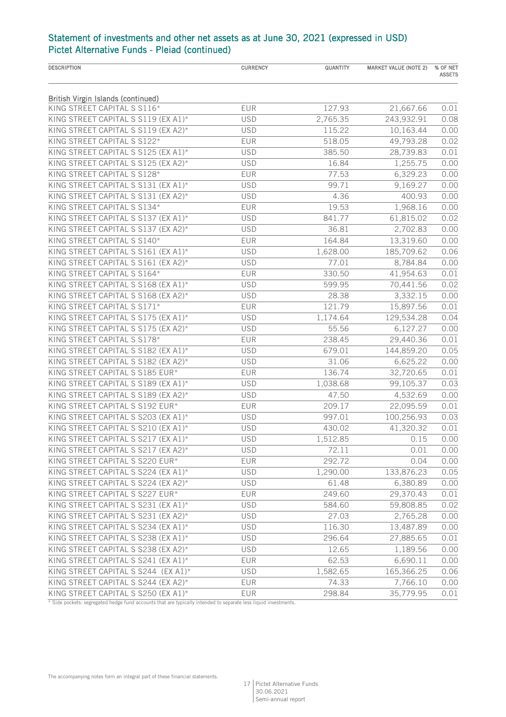| <b>DESCRIPTION</b>                        | <b>CURRENCY</b> | QUANTITY | <b>MARKET VALUE (NOTE 2)</b> | % OF NET<br><b>ASSETS</b> |
|-------------------------------------------|-----------------|----------|------------------------------|---------------------------|
|                                           |                 |          |                              |                           |
| <b>British Virgin Islands (continued)</b> |                 |          |                              |                           |
| KING STREET CAPITAL S S116*               | EUR             | 127.93   | 21,667.66                    | 0.01                      |
| KING STREET CAPITAL S S119 (EX A1)*       | <b>USD</b>      | 2,765.35 | 243,932.91                   | 0.08                      |
| KING STREET CAPITAL S S119 (EX A2)*       | <b>USD</b>      | 115.22   | 10,163.44                    | 0.00                      |
| KING STREET CAPITAL S S122*               | EUR             | 518.05   | 49,793.28                    | 0.02                      |
| KING STREET CAPITAL S S125 (EX A1)*       | <b>USD</b>      | 385.50   | 28,739.83                    | 0.01                      |
| KING STREET CAPITAL S S125 (EX A2)*       | <b>USD</b>      | 16.84    | 1,255.75                     | 0.00                      |
| KING STREET CAPITAL S S128*               | EUR             | 77.53    | 6,329.23                     | 0.00                      |
| KING STREET CAPITAL S S131 (EX A1)*       | <b>USD</b>      | 99.71    | 9,169.27                     | 0.00                      |
| KING STREET CAPITAL S S131 (EX A2)*       | <b>USD</b>      | 4.36     | 400.93                       | 0.00                      |
| KING STREET CAPITAL S S134*               | EUR             | 19.53    | 1,968.16                     | 0.00                      |
| KING STREET CAPITAL S S137 (EX A1)*       | <b>USD</b>      | 841.77   | 61,815.02                    | 0.02                      |
| KING STREET CAPITAL S S137 (EX A2)*       | <b>USD</b>      | 36.81    | 2,702.83                     | 0.00                      |
| KING STREET CAPITAL S S140*               | EUR             | 164.84   | 13,319.60                    | 0.00                      |
| KING STREET CAPITAL S S161 (EX A1)*       | <b>USD</b>      | 1,628.00 | 185,709.62                   | 0.06                      |
| KING STREET CAPITAL S S161 (EX A2)*       | <b>USD</b>      | 77.01    | 8,784.84                     | 0.00                      |
| KING STREET CAPITAL S S164*               | EUR             | 330.50   | 41,954.63                    | 0.01                      |
| KING STREET CAPITAL S S168 (EX A1)*       | <b>USD</b>      | 599.95   | 70,441.56                    | 0.02                      |
| KING STREET CAPITAL S S168 (EX A2)*       | <b>USD</b>      | 28.38    | 3,332.15                     | 0.00                      |
| KING STREET CAPITAL S S171*               | EUR             | 121.79   | 15,897.56                    | 0.01                      |
| KING STREET CAPITAL S S175 (EX A1)*       | <b>USD</b>      | 1,174.64 | 129,534.28                   | 0.04                      |
| KING STREET CAPITAL S S175 (EX A2)*       | <b>USD</b>      | 55.56    | 6,127.27                     | 0.00                      |
| KING STREET CAPITAL S S178*               | <b>EUR</b>      | 238.45   | 29,440.36                    | 0.01                      |
| KING STREET CAPITAL S S182 (EX A1)*       | <b>USD</b>      | 679.01   | 144,859.20                   | 0.05                      |
| KING STREET CAPITAL S S182 (EX A2)*       | <b>USD</b>      | 31.06    | 6,625.22                     | 0.00                      |
| KING STREET CAPITAL S S185 EUR*           | EUR             | 136.74   | 32,720.65                    | 0.01                      |
| KING STREET CAPITAL S S189 (EX A1)*       | <b>USD</b>      | 1,038.68 | 99,105.37                    | 0.03                      |
| KING STREET CAPITAL S S189 (EX A2)*       | <b>USD</b>      | 47.50    | 4,532.69                     | 0.00                      |
| KING STREET CAPITAL S S192 EUR*           | <b>EUR</b>      | 209.17   | 22,095.59                    | 0.01                      |
| KING STREET CAPITAL S S203 (EX A1)*       | <b>USD</b>      | 997.01   | 100,256.93                   | 0.03                      |
| KING STREET CAPITAL S S210 (EX A1)*       | <b>USD</b>      | 430.02   | 41,320.32                    | 0.01                      |
| KING STREET CAPITAL S S217 (EX A1)*       | <b>USD</b>      | 1,512.85 | 0.15                         | 0.00                      |
| KING STREET CAPITAL S S217 (EX A2)*       | <b>USD</b>      | 72.11    | 0.01                         | 0.00                      |
| KING STREET CAPITAL S S220 EUR*           | EUR             | 292.72   | 0.04                         | 0.00                      |
| KING STREET CAPITAL S S224 (EX A1)*       | <b>USD</b>      | 1,290.00 | 133,876.23                   | 0.05                      |
| KING STREET CAPITAL S S224 (EX A2)*       | <b>USD</b>      | 61.48    | 6,380.89                     | 0.00                      |
| KING STREET CAPITAL S S227 EUR*           | <b>EUR</b>      | 249.60   | 29,370.43                    | 0.01                      |
| KING STREET CAPITAL S S231 (EX A1)*       | <b>USD</b>      | 584.60   | 59,808.85                    | 0.02                      |
| KING STREET CAPITAL S S231 (EX A2)*       | <b>USD</b>      | 27.03    | 2,765.28                     | 0.00                      |
| KING STREET CAPITAL S S234 (EX A1)*       | <b>USD</b>      | 116.30   | 13,487.89                    | 0.00                      |
| KING STREET CAPITAL S S238 (EX A1)*       | <b>USD</b>      | 296.64   | 27,885.65                    | 0.01                      |
| KING STREET CAPITAL S S238 (EX A2)*       | <b>USD</b>      | 12.65    | 1,189.56                     | 0.00                      |
| KING STREET CAPITAL S S241 (EX A1)*       | <b>EUR</b>      | 62.53    | 6,690.11                     | 0.00                      |
| KING STREET CAPITAL S S244 (EX A1)*       | <b>USD</b>      | 1,582.65 | 165,366.25                   | 0.06                      |
| KING STREET CAPITAL S S244 (EX A2)*       | <b>EUR</b>      | 74.33    | 7,766.10                     | 0.00                      |
| KING STREET CAPITAL S S250 (EX A1)*       | EUR             | 298.84   | 35,779.95                    | 0.01                      |

\* Side pockets: segregated hedge fund accounts that are typically intended to separate less liquid investments.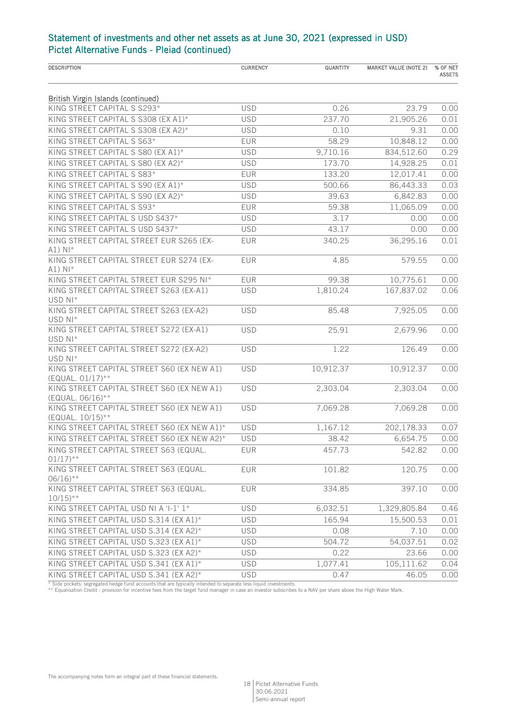| <b>DESCRIPTION</b>                                                            | <b>CURRENCY</b> | QUANTITY  | <b>MARKET VALUE (NOTE 2)</b> | % OF NET<br><b>ASSETS</b> |
|-------------------------------------------------------------------------------|-----------------|-----------|------------------------------|---------------------------|
| <b>British Virgin Islands (continued)</b>                                     |                 |           |                              |                           |
| KING STREET CAPITAL S S293*                                                   | <b>USD</b>      | 0.26      | 23.79                        | 0.00                      |
| KING STREET CAPITAL S S308 (EX A1)*                                           | <b>USD</b>      | 237.70    | 21,905.26                    | 0.01                      |
| KING STREET CAPITAL S S308 (EX A2)*                                           | <b>USD</b>      | 0.10      | 9.31                         | 0.00                      |
| KING STREET CAPITAL S S63*                                                    | EUR             | 58.29     | 10,848.12                    | 0.00                      |
| KING STREET CAPITAL S S80 (EX A1)*                                            | <b>USD</b>      | 9,710.16  | 834,512.60                   | 0.29                      |
| KING STREET CAPITAL S S80 (EX A2)*                                            | <b>USD</b>      | 173.70    | 14,928.25                    | 0.01                      |
| KING STREET CAPITAL S S83*                                                    | EUR             | 133.20    | 12,017.41                    | 0.00                      |
| KING STREET CAPITAL S S90 (EX A1)*                                            | <b>USD</b>      | 500.66    | 86,443.33                    | 0.03                      |
| KING STREET CAPITAL S S90 (EX A2)*                                            | <b>USD</b>      | 39.63     | 6,842.83                     | 0.00                      |
| KING STREET CAPITAL S S93*                                                    | EUR             | 59.38     | 11,065.09                    | 0.00                      |
| KING STREET CAPITAL S USD S437*                                               | <b>USD</b>      | 3.17      | 0.00                         | 0.00                      |
| KING STREET CAPITAL S USD S437*                                               | <b>USD</b>      | 43.17     | 0.00                         | 0.00                      |
| KING STREET CAPITAL STREET EUR S265 (EX-<br>$A1)$ NI*                         | <b>EUR</b>      | 340.25    | 36,295.16                    | 0.01                      |
| KING STREET CAPITAL STREET EUR S274 (EX-<br>$A1)$ N <sub><math>*</math></sub> | <b>EUR</b>      | 4.85      | 579.55                       | 0.00                      |
| KING STREET CAPITAL STREET EUR S295 NI*                                       | <b>EUR</b>      | 99.38     | 10,775.61                    | 0.00                      |
| KING STREET CAPITAL STREET S263 (EX-A1)                                       | <b>USD</b>      | 1,810.24  | 167,837.02                   | 0.06                      |
| USD NI*                                                                       |                 |           |                              |                           |
| KING STREET CAPITAL STREET S263 (EX-A2)<br>USD NI*                            | <b>USD</b>      | 85.48     | 7,925.05                     | 0.00                      |
| KING STREET CAPITAL STREET S272 (EX-A1)<br>USD NI*                            | <b>USD</b>      | 25.91     | 2,679.96                     | 0.00                      |
| KING STREET CAPITAL STREET S272 (EX-A2)<br>USD NI*                            | <b>USD</b>      | 1.22      | 126.49                       | 0.00                      |
| KING STREET CAPITAL STREET S60 (EX NEW A1)<br>(EQUAL. 01/17)**                | <b>USD</b>      | 10,912.37 | 10,912.37                    | 0.00                      |
| KING STREET CAPITAL STREET S60 (EX NEW A1)<br>(EQUAL. 06/16)**                | <b>USD</b>      | 2,303.04  | 2,303.04                     | 0.00                      |
| KING STREET CAPITAL STREET S60 (EX NEW A1)<br>(EQUAL. 10/15)**                | <b>USD</b>      | 7,069.28  | 7,069.28                     | 0.00                      |
| KING STREET CAPITAL STREET S60 (EX NEW A1)*                                   | <b>USD</b>      | 1,167.12  | 202,178.33                   | 0.07                      |
| KING STREET CAPITAL STREET S60 (EX NEW A2)*                                   | <b>USD</b>      | 38.42     | 6,654.75                     | 0.00                      |
| KING STREET CAPITAL STREET S63 (EQUAL.<br>$01/17$ <sup>**</sup>               | <b>EUR</b>      | 457.73    | 542.82                       | 0.00                      |
| KING STREET CAPITAL STREET S63 (EQUAL.<br>$06/16$ <sup>**</sup>               | EUR             | 101.82    | 120.75                       | 0.00                      |
| KING STREET CAPITAL STREET S63 (EQUAL.<br>$10/15$ <sup>**</sup>               | <b>EUR</b>      | 334.85    | 397.10                       | 0.00                      |
| KING STREET CAPITAL USD NI A 'I-1' 1*                                         | <b>USD</b>      | 6,032.51  | 1,329,805.84                 | 0.46                      |
| KING STREET CAPITAL USD S.314 (EX A1)*                                        | <b>USD</b>      | 165.94    | 15,500.53                    | 0.01                      |
| KING STREET CAPITAL USD S.314 (EX A2)*                                        | <b>USD</b>      | 0.08      | 7.10                         | 0.00                      |
| KING STREET CAPITAL USD S.323 (EX A1)*                                        | <b>USD</b>      | 504.72    | 54,037.51                    | 0.02                      |
| KING STREET CAPITAL USD S.323 (EX A2)*                                        | <b>USD</b>      | 0.22      | 23.66                        | 0.00                      |
| KING STREET CAPITAL USD S.341 (EX A1)*                                        | <b>USD</b>      | 1,077.41  | 105,111.62                   | 0.04                      |
| KING STREET CAPITAL USD S.341 (EX A2)*                                        | <b>USD</b>      | 0.47      | 46.05                        | 0.00                      |

\* Side pockets: segregated hedge fund accounts that are typically intended to separate less liquid investments.<br>\*\* Equalisation Credit : provision for incentive fees from the target fund manager in case an investor subscri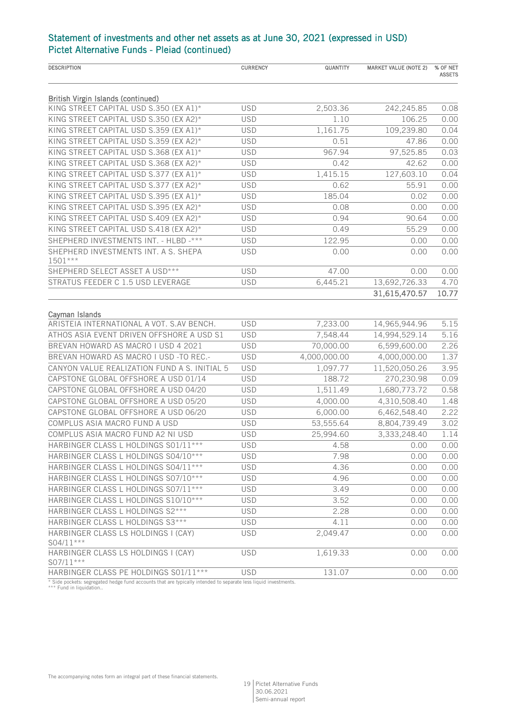| <b>DESCRIPTION</b>                                          | <b>CURRENCY</b> | QUANTITY     | <b>MARKET VALUE (NOTE 2)</b> | % OF NET<br><b>ASSETS</b> |
|-------------------------------------------------------------|-----------------|--------------|------------------------------|---------------------------|
| <b>British Virgin Islands (continued)</b>                   |                 |              |                              |                           |
| KING STREET CAPITAL USD S.350 (EX A1)*                      | <b>USD</b>      | 2,503.36     | 242,245.85                   | 0.08                      |
| KING STREET CAPITAL USD S.350 (EX A2)*                      | <b>USD</b>      | 1.10         | 106.25                       | 0.00                      |
| KING STREET CAPITAL USD S.359 (EX A1)*                      | <b>USD</b>      | 1,161.75     | 109,239.80                   | 0.04                      |
| KING STREET CAPITAL USD S.359 (EX A2)*                      | <b>USD</b>      | 0.51         | 47.86                        | 0.00                      |
| KING STREET CAPITAL USD S.368 (EX A1)*                      | <b>USD</b>      | 967.94       | 97,525.85                    | 0.03                      |
| KING STREET CAPITAL USD S.368 (EX A2)*                      | <b>USD</b>      | 0.42         | 42.62                        | 0.00                      |
| KING STREET CAPITAL USD S.377 (EX A1)*                      | <b>USD</b>      | 1,415.15     | 127,603.10                   | 0.04                      |
| KING STREET CAPITAL USD S.377 (EX A2)*                      | <b>USD</b>      | 0.62         | 55.91                        | 0.00                      |
| KING STREET CAPITAL USD S.395 (EX A1)*                      | <b>USD</b>      | 185.04       | 0.02                         | 0.00                      |
| KING STREET CAPITAL USD S.395 (EX A2)*                      | <b>USD</b>      | 0.08         | 0.00                         | 0.00                      |
| KING STREET CAPITAL USD S.409 (EX A2)*                      | <b>USD</b>      | 0.94         | 90.64                        | 0.00                      |
| KING STREET CAPITAL USD S.418 (EX A2)*                      | <b>USD</b>      | 0.49         | 55.29                        | 0.00                      |
| SHEPHERD INVESTMENTS INT. - HLBD -***                       | <b>USD</b>      | 122.95       | 0.00                         | 0.00                      |
| SHEPHERD INVESTMENTS INT. A S. SHEPA<br>1501***             | <b>USD</b>      | 0.00         | 0.00                         | 0.00                      |
| SHEPHERD SELECT ASSET A USD***                              | <b>USD</b>      | 47.00        | 0.00                         | 0.00                      |
| STRATUS FEEDER C 1.5 USD LEVERAGE                           | <b>USD</b>      | 6,445.21     | 13,692,726.33                | 4.70                      |
|                                                             |                 |              | 31,615,470.57                | 10.77                     |
|                                                             |                 |              |                              |                           |
| Cayman Islands<br>ARISTEIA INTERNATIONAL A VOT. S.AV BENCH. | <b>USD</b>      | 7,233.00     | 14,965,944.96                | 5.15                      |
| ATHOS ASIA EVENT DRIVEN OFFSHORE A USD S1                   | <b>USD</b>      | 7,548.44     | 14,994,529.14                | 5.16                      |
| BREVAN HOWARD AS MACRO I USD 4 2021                         | <b>USD</b>      | 70,000.00    | 6,599,600.00                 | 2.26                      |
| BREVAN HOWARD AS MACRO I USD -TO REC.-                      | <b>USD</b>      | 4,000,000.00 | 4,000,000.00                 | 1.37                      |
| CANYON VALUE REALIZATION FUND A S. INITIAL 5                | <b>USD</b>      | 1,097.77     | 11,520,050.26                | 3.95                      |
| CAPSTONE GLOBAL OFFSHORE A USD 01/14                        | <b>USD</b>      | 188.72       | 270,230.98                   | 0.09                      |
| CAPSTONE GLOBAL OFFSHORE A USD 04/20                        | <b>USD</b>      | 1,511.49     | 1,680,773.72                 | 0.58                      |
| CAPSTONE GLOBAL OFFSHORE A USD 05/20                        | <b>USD</b>      | 4,000.00     | 4,310,508.40                 | 1.48                      |
| CAPSTONE GLOBAL OFFSHORE A USD 06/20                        | <b>USD</b>      | 6,000.00     | 6,462,548.40                 | 2.22                      |
| COMPLUS ASIA MACRO FUND A USD                               | <b>USD</b>      | 53,555.64    | 8,804,739.49                 | 3.02                      |
| COMPLUS ASIA MACRO FUND A2 NI USD                           | <b>USD</b>      | 25,994.60    | 3,333,248.40                 | 1.14                      |
| HARBINGER CLASS L HOLDINGS S01/11 ***                       | <b>USD</b>      | 4.58         | 0.00                         | 0.00                      |
| HARBINGER CLASS L HOLDINGS S04/10***                        | <b>USD</b>      | 7.98         | 0.00                         | 0.00                      |
| HARBINGER CLASS L HOLDINGS S04/11 ***                       | <b>USD</b>      | 4.36         | 0.00                         | 0.00                      |
| HARBINGER CLASS L HOLDINGS S07/10***                        | <b>USD</b>      | 4.96         | 0.00                         | 0.00                      |
| HARBINGER CLASS L HOLDINGS S07/11 ***                       | <b>USD</b>      | 3.49         | 0.00                         | 0.00                      |
| HARBINGER CLASS L HOLDINGS S10/10***                        | <b>USD</b>      | 3.52         | 0.00                         | 0.00                      |
| HARBINGER CLASS L HOLDINGS S2***                            | <b>USD</b>      | 2.28         | 0.00                         | 0.00                      |
| HARBINGER CLASS L HOLDINGS S3***                            | <b>USD</b>      | 4.11         | 0.00                         | 0.00                      |
| HARBINGER CLASS LS HOLDINGS I (CAY)                         | <b>USD</b>      | 2,049.47     | 0.00                         | 0.00                      |
| S04/11***                                                   |                 |              |                              |                           |
| HARBINGER CLASS LS HOLDINGS I (CAY)<br>S07/11***            | <b>USD</b>      | 1,619.33     | 0.00                         | 0.00                      |
| HARBINGER CLASS PE HOLDINGS S01/11 ***                      | <b>USD</b>      | 131.07       | 0.00                         | 0.00                      |

\* Side pockets: segregated hedge fund accounts that are typically intended to separate less liquid investments. \*\*\* Fund in liquidation..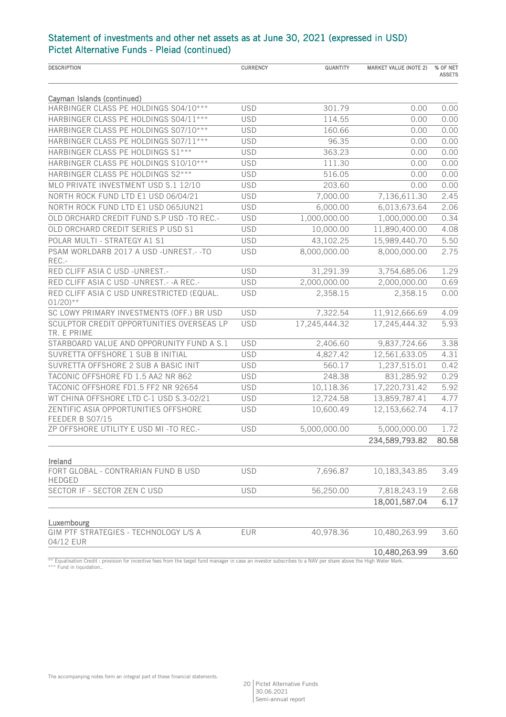| <b>DESCRIPTION</b>                                                 | <b>CURRENCY</b> | QUANTITY      | <b>MARKET VALUE (NOTE 2)</b> | % OF NET<br><b>ASSETS</b> |
|--------------------------------------------------------------------|-----------------|---------------|------------------------------|---------------------------|
|                                                                    |                 |               |                              |                           |
| Cayman Islands (continued)                                         |                 |               |                              |                           |
| HARBINGER CLASS PE HOLDINGS S04/10***                              | <b>USD</b>      | 301.79        | 0.00                         | 0.00                      |
| HARBINGER CLASS PE HOLDINGS S04/11 ***                             | <b>USD</b>      | 114.55        | 0.00                         | 0.00                      |
| HARBINGER CLASS PE HOLDINGS S07/10***                              | <b>USD</b>      | 160.66        | 0.00                         | 0.00                      |
| HARBINGER CLASS PE HOLDINGS S07/11 ***                             | <b>USD</b>      | 96.35         | 0.00                         | 0.00                      |
| HARBINGER CLASS PE HOLDINGS S1 ***                                 | <b>USD</b>      | 363.23        | 0.00                         | 0.00                      |
| HARBINGER CLASS PE HOLDINGS S10/10***                              | <b>USD</b>      | 111.30        | 0.00                         | 0.00                      |
| HARBINGER CLASS PE HOLDINGS S2***                                  | <b>USD</b>      | 516.05        | 0.00                         | 0.00                      |
| MLO PRIVATE INVESTMENT USD S.1 12/10                               | <b>USD</b>      | 203.60        | 0.00                         | 0.00                      |
| NORTH ROCK FUND LTD E1 USD 06/04/21                                | <b>USD</b>      | 7,000.00      | 7,136,611.30                 | 2.45                      |
| NORTH ROCK FUND LTD E1 USD 065JUN21                                | <b>USD</b>      | 6,000.00      | 6,013,673.64                 | 2.06                      |
| OLD ORCHARD CREDIT FUND S.P USD -TO REC.-                          | <b>USD</b>      | 1,000,000.00  | 1,000,000.00                 | 0.34                      |
| OLD ORCHARD CREDIT SERIES P USD S1                                 | <b>USD</b>      | 10,000.00     | 11,890,400.00                | 4.08                      |
| POLAR MULTI - STRATEGY A1 S1                                       | <b>USD</b>      | 43,102.25     | 15,989,440.70                | 5.50                      |
| PSAM WORLDARB 2017 A USD -UNREST.- - TO<br>REC .-                  | <b>USD</b>      | 8,000,000.00  | 8,000,000.00                 | 2.75                      |
| RED CLIFF ASIA C USD -UNREST.-                                     | <b>USD</b>      | 31,291.39     | 3,754,685.06                 | 1.29                      |
| RED CLIFF ASIA C USD -UNREST.- - A REC.-                           | <b>USD</b>      | 2,000,000.00  | 2,000,000.00                 | 0.69                      |
| RED CLIFF ASIA C USD UNRESTRICTED (EQUAL.<br>$01/20$ <sup>**</sup> | <b>USD</b>      | 2,358.15      | 2,358.15                     | 0.00                      |
| SC LOWY PRIMARY INVESTMENTS (OFF.) BR USD                          | <b>USD</b>      | 7,322.54      | 11,912,666.69                | 4.09                      |
| SCULPTOR CREDIT OPPORTUNITIES OVERSEAS LP<br>TR. E PRIME           | <b>USD</b>      | 17,245,444.32 | 17,245,444.32                | 5.93                      |
| STARBOARD VALUE AND OPPORUNITY FUND A S.1                          | <b>USD</b>      | 2,406.60      | 9,837,724.66                 | 3.38                      |
| SUVRETTA OFFSHORE 1 SUB B INITIAL                                  | <b>USD</b>      | 4,827.42      | 12,561,633.05                | 4.31                      |
| SUVRETTA OFFSHORE 2 SUB A BASIC INIT                               | <b>USD</b>      | 560.17        | 1,237,515.01                 | 0.42                      |
| TACONIC OFFSHORE FD 1.5 AA2 NR 862                                 | <b>USD</b>      | 248.38        | 831,285.92                   | 0.29                      |
| TACONIC OFFSHORE FD1.5 FF2 NR 92654                                | <b>USD</b>      | 10,118.36     | 17,220,731.42                | 5.92                      |
| WT CHINA OFFSHORE LTD C-1 USD S.3-02/21                            | <b>USD</b>      | 12,724.58     | 13,859,787.41                | 4.77                      |
| ZENTIFIC ASIA OPPORTUNITIES OFFSHORE<br>FEEDER B S07/15            | <b>USD</b>      | 10,600.49     | 12,153,662.74                | 4.17                      |
| ZP OFFSHORE UTILITY E USD MI-TO REC .-                             | <b>USD</b>      | 5,000,000.00  | 5,000,000.00                 | 1.72                      |
|                                                                    |                 |               | 234,589,793.82               | 80.58                     |
| Ireland                                                            |                 |               |                              |                           |
| FORT GLOBAL - CONTRARIAN FUND B USD<br><b>HEDGED</b>               | <b>USD</b>      | 7,696.87      | 10,183,343.85                | 3.49                      |
| SECTOR IF - SECTOR ZEN C USD                                       | <b>USD</b>      | 56,250.00     | 7,818,243.19                 | 2.68                      |
|                                                                    |                 |               | 18,001,587.04                | 6.17                      |
| Luxembourg                                                         |                 |               |                              |                           |
| GIM PTF STRATEGIES - TECHNOLOGY L/S A<br>04/12 EUR                 | EUR             | 40,978.36     | 10,480,263.99                | 3.60                      |
|                                                                    |                 |               | 10,480,263.99                | 3.60                      |

\*\* Equalisation Credit : provision for incentive fees from the target fund manager in case an investor subscribes to a NAV per share above the High Water Mark. \*\*\* Fund in liquidation..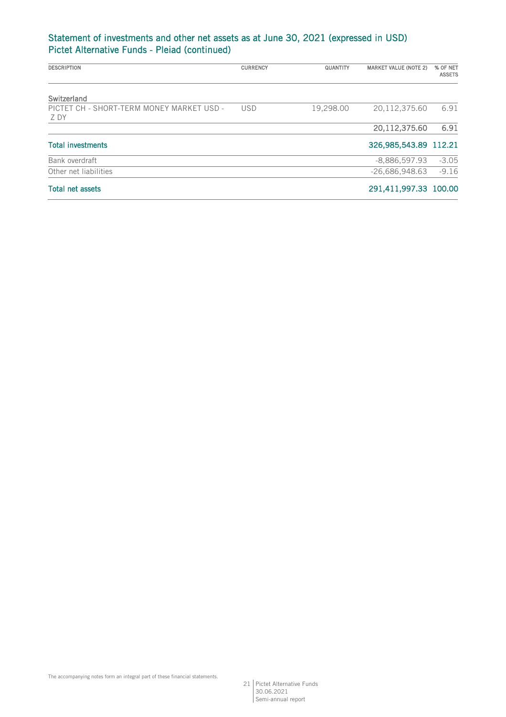| <b>DESCRIPTION</b>                                | <b>CURRENCY</b> | QUANTITY  | <b>MARKET VALUE (NOTE 2)</b> | % OF NET<br><b>ASSETS</b> |
|---------------------------------------------------|-----------------|-----------|------------------------------|---------------------------|
| Switzerland                                       |                 |           |                              |                           |
| PICTET CH - SHORT-TERM MONEY MARKET USD -<br>Z DY | <b>USD</b>      | 19,298.00 | 20,112,375.60                | 6.91                      |
|                                                   |                 |           | 20,112,375.60                | 6.91                      |
| <b>Total investments</b>                          |                 |           | 326,985,543.89 112.21        |                           |
| Bank overdraft                                    |                 |           | $-8,886,597.93$              | $-3.05$                   |
| Other net liabilities                             |                 |           | $-26,686,948.63$             | $-9.16$                   |
| <b>Total net assets</b>                           |                 |           | 291,411,997.33 100.00        |                           |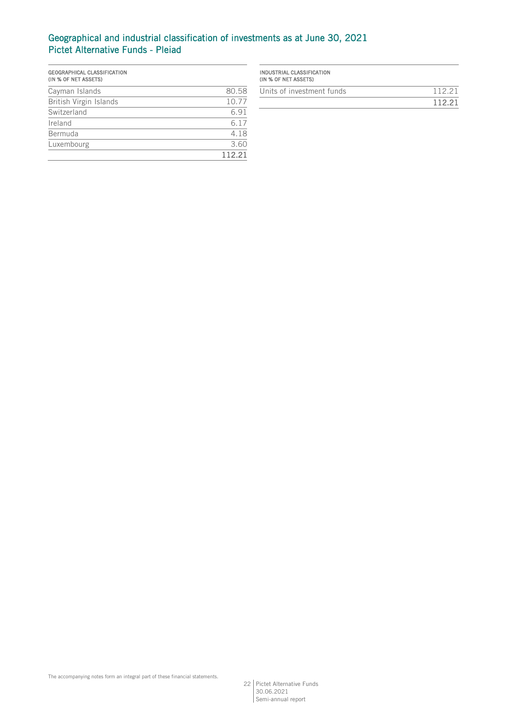# Geographical and industrial classification of investments as at June 30, 2021 Pictet Alternative Funds - Pleiad

| GEOGRAPHICAL CLASSIFICATION<br>(IN % OF NET ASSETS) |        |
|-----------------------------------------------------|--------|
| Cayman Islands                                      | 80.58  |
| British Virgin Islands                              | 10.77  |
| Switzerland                                         | 6.91   |
| Ireland                                             | 6.17   |
| Bermuda                                             | 4.18   |
| Luxembourg                                          | 3.60   |
|                                                     | 112.21 |

| INDUSTRIAL CLASSIFICATION<br>(IN % OF NET ASSETS) |        |
|---------------------------------------------------|--------|
| Units of investment funds                         | 112 21 |
|                                                   | 112 21 |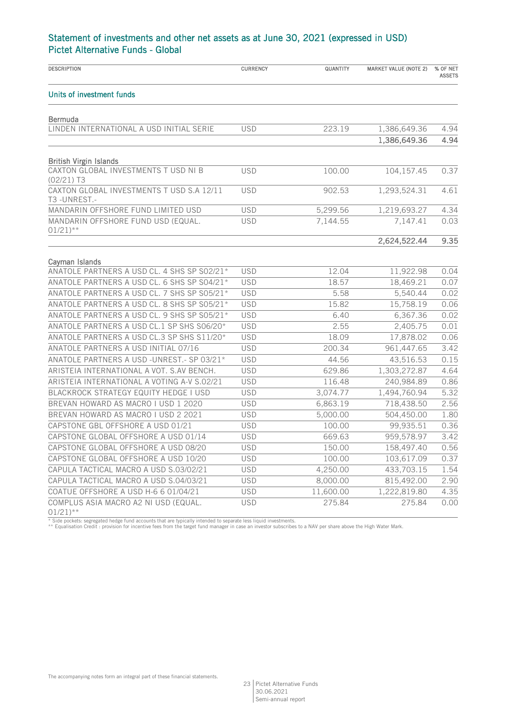| <b>DESCRIPTION</b>                                            | <b>CURRENCY</b> | QUANTITY  | <b>MARKET VALUE (NOTE 2)</b> | % OF NET<br><b>ASSETS</b> |
|---------------------------------------------------------------|-----------------|-----------|------------------------------|---------------------------|
| Units of investment funds                                     |                 |           |                              |                           |
| <b>Bermuda</b>                                                |                 |           |                              |                           |
| LINDEN INTERNATIONAL A USD INITIAL SERIE                      | <b>USD</b>      | 223.19    | 1,386,649.36                 | 4.94                      |
|                                                               |                 |           | 1,386,649.36                 | 4.94                      |
| <b>British Virgin Islands</b>                                 |                 |           |                              |                           |
| CAXTON GLOBAL INVESTMENTS TUSD NI B<br>$(02/21)$ T3           | <b>USD</b>      | 100.00    | 104,157.45                   | 0.37                      |
| CAXTON GLOBAL INVESTMENTS T USD S.A 12/11<br>T3-UNREST.-      | <b>USD</b>      | 902.53    | 1,293,524.31                 | 4.61                      |
| MANDARIN OFFSHORE FUND LIMITED USD                            | <b>USD</b>      | 5,299.56  | 1,219,693.27                 | 4.34                      |
| MANDARIN OFFSHORE FUND USD (EQUAL.<br>$01/21$ <sup>**</sup>   | <b>USD</b>      | 7,144.55  | 7,147.41                     | 0.03                      |
|                                                               |                 |           | 2,624,522.44                 | 9.35                      |
| Cavman Islands                                                |                 |           |                              |                           |
| ANATOLE PARTNERS A USD CL. 4 SHS SP S02/21*                   | <b>USD</b>      | 12.04     | 11,922.98                    | 0.04                      |
| ANATOLE PARTNERS A USD CL. 6 SHS SP S04/21*                   | <b>USD</b>      | 18.57     | 18,469.21                    | 0.07                      |
| ANATOLE PARTNERS A USD CL. 7 SHS SP S05/21*                   | <b>USD</b>      | 5.58      | 5,540.44                     | 0.02                      |
| ANATOLE PARTNERS A USD CL. 8 SHS SP S05/21*                   | <b>USD</b>      | 15.82     | 15,758.19                    | 0.06                      |
| ANATOLE PARTNERS A USD CL. 9 SHS SP S05/21*                   | <b>USD</b>      | 6.40      | 6,367.36                     | 0.02                      |
| ANATOLE PARTNERS A USD CL.1 SP SHS S06/20*                    | <b>USD</b>      | 2.55      | 2,405.75                     | 0.01                      |
| ANATOLE PARTNERS A USD CL.3 SP SHS S11/20*                    | <b>USD</b>      | 18.09     | 17,878.02                    | 0.06                      |
| ANATOLE PARTNERS A USD INITIAL 07/16                          | <b>USD</b>      | 200.34    | 961,447.65                   | 3.42                      |
| ANATOLE PARTNERS A USD -UNREST.- SP 03/21*                    | <b>USD</b>      | 44.56     | 43,516.53                    | 0.15                      |
| ARISTEIA INTERNATIONAL A VOT. S.AV BENCH.                     | <b>USD</b>      | 629.86    | 1,303,272.87                 | 4.64                      |
| ARISTEIA INTERNATIONAL A VOTING A-V S.02/21                   | <b>USD</b>      | 116.48    | 240,984.89                   | 0.86                      |
| BLACKROCK STRATEGY EQUITY HEDGE I USD                         | <b>USD</b>      | 3,074.77  | 1,494,760.94                 | 5.32                      |
| BREVAN HOWARD AS MACRO I USD 1 2020                           | <b>USD</b>      | 6,863.19  | 718,438.50                   | 2.56                      |
| BREVAN HOWARD AS MACRO I USD 2 2021                           | <b>USD</b>      | 5,000.00  | 504,450.00                   | 1.80                      |
| CAPSTONE GBL OFFSHORE A USD 01/21                             | <b>USD</b>      | 100.00    | 99,935.51                    | 0.36                      |
| CAPSTONE GLOBAL OFFSHORE A USD 01/14                          | <b>USD</b>      | 669.63    | 959,578.97                   | 3.42                      |
| CAPSTONE GLOBAL OFFSHORE A USD 08/20                          | <b>USD</b>      | 150.00    | 158,497.40                   | 0.56                      |
| CAPSTONE GLOBAL OFFSHORE A USD 10/20                          | <b>USD</b>      | 100.00    | 103,617.09                   | 0.37                      |
| CAPULA TACTICAL MACRO A USD S.03/02/21                        | <b>USD</b>      | 4,250.00  | 433,703.15                   | 1.54                      |
| CAPULA TACTICAL MACRO A USD S.04/03/21                        | <b>USD</b>      | 8,000.00  | 815,492.00                   | 2.90                      |
| COATUE OFFSHORE A USD H-6 6 01/04/21                          | <b>USD</b>      | 11,600.00 | 1,222,819.80                 | 4.35                      |
| COMPLUS ASIA MACRO A2 NI USD (EQUAL.<br>$01/21$ <sup>**</sup> | <b>USD</b>      | 275.84    | 275.84                       | 0.00                      |

\* Side pockets: segregated hedge fund accounts that are typically intended to separate less liquid investments.<br>\*\* Equalisation Credit : provision for incentive fees from the target fund manager in case an investor subscri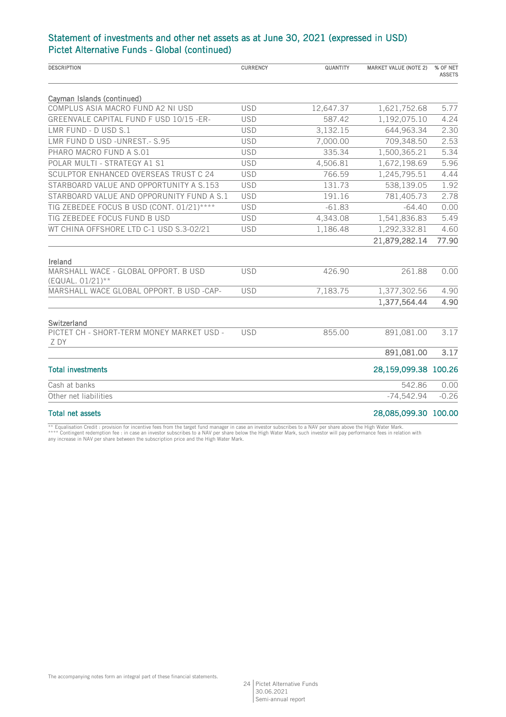| <b>DESCRIPTION</b>                                       | <b>CURRENCY</b> | QUANTITY  | <b>MARKET VALUE (NOTE 2)</b> | % OF NET<br><b>ASSETS</b> |
|----------------------------------------------------------|-----------------|-----------|------------------------------|---------------------------|
| Cayman Islands (continued)                               |                 |           |                              |                           |
| COMPLUS ASIA MACRO FUND A2 NI USD                        | <b>USD</b>      | 12,647.37 | 1,621,752.68                 | 5.77                      |
| GREENVALE CAPITAL FUND F USD 10/15 -ER-                  | <b>USD</b>      | 587.42    | 1,192,075.10                 | 4.24                      |
| LMR FUND - D USD S.1                                     | <b>USD</b>      | 3,132.15  | 644,963.34                   | 2.30                      |
| LMR FUND D USD -UNREST.- S.95                            | <b>USD</b>      | 7,000.00  | 709,348.50                   | 2.53                      |
| PHARO MACRO FUND A S.01                                  | <b>USD</b>      | 335.34    | 1,500,365.21                 | 5.34                      |
| POLAR MULTI - STRATEGY A1 S1                             | <b>USD</b>      | 4,506.81  | 1,672,198.69                 | 5.96                      |
| SCULPTOR ENHANCED OVERSEAS TRUST C 24                    | <b>USD</b>      | 766.59    | 1,245,795.51                 | 4.44                      |
| STARBOARD VALUE AND OPPORTUNITY A S.153                  | <b>USD</b>      | 131.73    | 538,139.05                   | 1.92                      |
| STARBOARD VALUE AND OPPORUNITY FUND A S.1                | <b>USD</b>      | 191.16    | 781,405.73                   | 2.78                      |
| TIG ZEBEDEE FOCUS B USD (CONT. 01/21)****                | <b>USD</b>      | $-61.83$  | $-64.40$                     | 0.00                      |
| TIG ZEBEDEE FOCUS FUND B USD                             | <b>USD</b>      | 4,343.08  | 1,541,836.83                 | 5.49                      |
| WT CHINA OFFSHORE LTD C-1 USD S.3-02/21                  | <b>USD</b>      | 1,186.48  | 1,292,332.81                 | 4.60                      |
|                                                          |                 |           | 21,879,282.14                | 77.90                     |
| Ireland                                                  |                 |           |                              |                           |
| MARSHALL WACE - GLOBAL OPPORT. B USD<br>(EQUAL. 01/21)** | <b>USD</b>      | 426.90    | 261.88                       | 0.00                      |
| MARSHALL WACE GLOBAL OPPORT. B USD -CAP-                 | <b>USD</b>      | 7,183.75  | 1,377,302.56                 | 4.90                      |
|                                                          |                 |           | 1,377,564.44                 | 4.90                      |
| Switzerland                                              |                 |           |                              |                           |
| PICTET CH - SHORT-TERM MONEY MARKET USD -<br>Z DY        | <b>USD</b>      | 855.00    | 891,081.00                   | 3.17                      |
|                                                          |                 |           | 891,081.00                   | 3.17                      |
| <b>Total investments</b>                                 |                 |           | 28,159,099.38 100.26         |                           |
| Cash at banks                                            |                 |           | 542.86                       | 0.00                      |
| Other net liabilities                                    |                 |           | $-74,542.94$                 | $-0.26$                   |
| <b>Total net assets</b>                                  |                 |           | 28,085,099.30 100.00         |                           |

\*\* Equalisation Credit : provision for incentive fees from the target fund manager in case an investor subscribes to a NAV per share above the High Water Mark.<br>\*\*\*\* Contingent redemption fee : in case an investor subscribe any increase in NAV per share between the subscription price and the High Water Mark.

The accompanying notes form an integral part of these financial statements.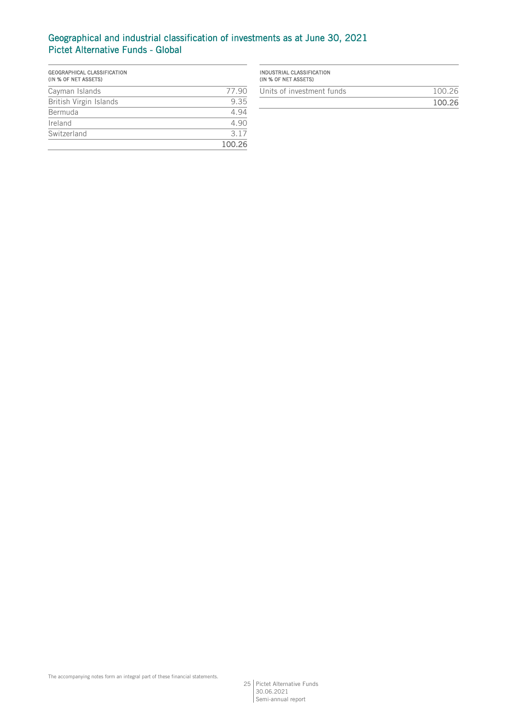# Geographical and industrial classification of investments as at June 30, 2021 Pictet Alternative Funds - Global

| GEOGRAPHICAL CLASSIFICATION<br>(IN % OF NET ASSETS) |        |
|-----------------------------------------------------|--------|
| Cayman Islands                                      | 77.90  |
| British Virgin Islands                              | 9.35   |
| Bermuda                                             | 4.94   |
| Ireland                                             | 4.90   |
| Switzerland                                         | 3 1 7  |
|                                                     | 100.26 |

| INDUSTRIAL CLASSIFICATION<br>(IN % OF NET ASSETS) |        |
|---------------------------------------------------|--------|
| Units of investment funds                         | 100.26 |
|                                                   | 100.26 |

25 Pictet Alternative Funds 30.06.2021 Semi-annual report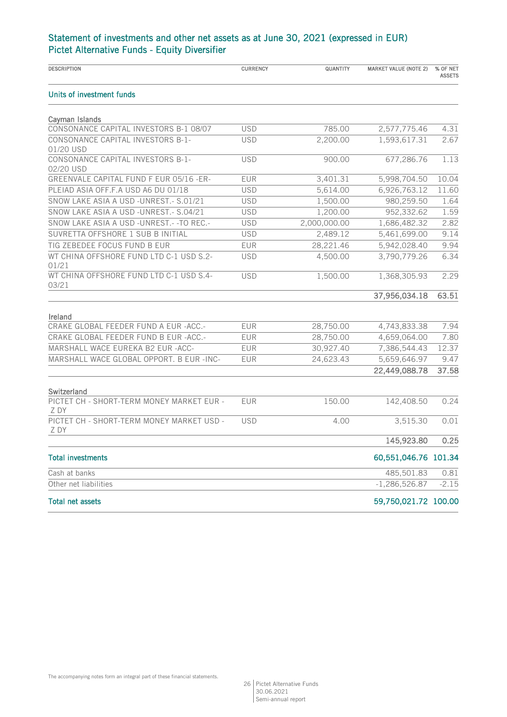# Statement of investments and other net assets as at June 30, 2021 (expressed in EUR) Pictet Alternative Funds - Equity Diversifier

| <b>DESCRIPTION</b>                                | <b>CURRENCY</b> | QUANTITY     | <b>MARKET VALUE (NOTE 2)</b> | % OF NET<br><b>ASSETS</b> |
|---------------------------------------------------|-----------------|--------------|------------------------------|---------------------------|
| Units of investment funds                         |                 |              |                              |                           |
| Cayman Islands                                    |                 |              |                              |                           |
| CONSONANCE CAPITAL INVESTORS B-1 08/07            | <b>USD</b>      | 785.00       | 2,577,775.46                 | 4.31                      |
| CONSONANCE CAPITAL INVESTORS B-1-<br>01/20 USD    | <b>USD</b>      | 2,200.00     | 1,593,617.31                 | 2.67                      |
| CONSONANCE CAPITAL INVESTORS B-1-<br>02/20 USD    | <b>USD</b>      | 900.00       | 677,286.76                   | 1.13                      |
| GREENVALE CAPITAL FUND F EUR 05/16 -ER-           | <b>EUR</b>      | 3,401.31     | 5,998,704.50                 | 10.04                     |
| PLEIAD ASIA OFF.F.A USD A6 DU 01/18               | <b>USD</b>      | 5,614.00     | 6,926,763.12                 | 11.60                     |
| SNOW LAKE ASIA A USD -UNREST. - S.01/21           | <b>USD</b>      | 1,500.00     | 980,259.50                   | 1.64                      |
| SNOW LAKE ASIA A USD -UNREST.- S.04/21            | <b>USD</b>      | 1,200.00     | 952,332.62                   | 1.59                      |
| SNOW LAKE ASIA A USD -UNREST.- - TO REC.-         | <b>USD</b>      | 2,000,000.00 | 1,686,482.32                 | 2.82                      |
| SUVRETTA OFFSHORE 1 SUB B INITIAL                 | <b>USD</b>      | 2,489.12     | 5,461,699.00                 | 9.14                      |
| TIG ZEBEDEE FOCUS FUND B EUR                      | <b>EUR</b>      | 28,221.46    | 5,942,028.40                 | 9.94                      |
| WT CHINA OFFSHORE FUND LTD C-1 USD S.2-<br>01/21  | <b>USD</b>      | 4,500.00     | 3,790,779.26                 | 6.34                      |
| WT CHINA OFFSHORE FUND LTD C-1 USD S.4-<br>03/21  | <b>USD</b>      | 1,500.00     | 1,368,305.93                 | 2.29                      |
|                                                   |                 |              | 37,956,034.18                | 63.51                     |
| Ireland                                           |                 |              |                              |                           |
| CRAKE GLOBAL FEEDER FUND A EUR -ACC.-             | <b>EUR</b>      | 28,750.00    | 4,743,833.38                 | 7.94                      |
| CRAKE GLOBAL FEEDER FUND B EUR - ACC.-            | <b>EUR</b>      | 28,750.00    | 4,659,064.00                 | 7.80                      |
| MARSHALL WACE EUREKA B2 EUR - ACC-                | <b>EUR</b>      | 30,927.40    | 7,386,544.43                 | 12.37                     |
| MARSHALL WACE GLOBAL OPPORT. B EUR -INC-          | <b>EUR</b>      | 24,623.43    | 5,659,646.97                 | 9.47                      |
|                                                   |                 |              | 22,449,088.78                | 37.58                     |
| Switzerland                                       |                 |              |                              |                           |
| PICTET CH - SHORT-TERM MONEY MARKET EUR -<br>Z DY | <b>EUR</b>      | 150.00       | 142,408.50                   | 0.24                      |
| PICTET CH - SHORT-TERM MONEY MARKET USD -<br>Z DY | <b>USD</b>      | 4.00         | 3,515.30                     | 0.01                      |
|                                                   |                 |              | 145,923.80                   | 0.25                      |
| <b>Total investments</b>                          |                 |              | 60,551,046.76 101.34         |                           |
| Cash at banks                                     |                 |              | 485,501.83                   | 0.81                      |
| Other net liabilities                             |                 |              | $-1,286,526.87$              | $-2.15$                   |
| <b>Total net assets</b>                           |                 |              | 59,750,021.72 100.00         |                           |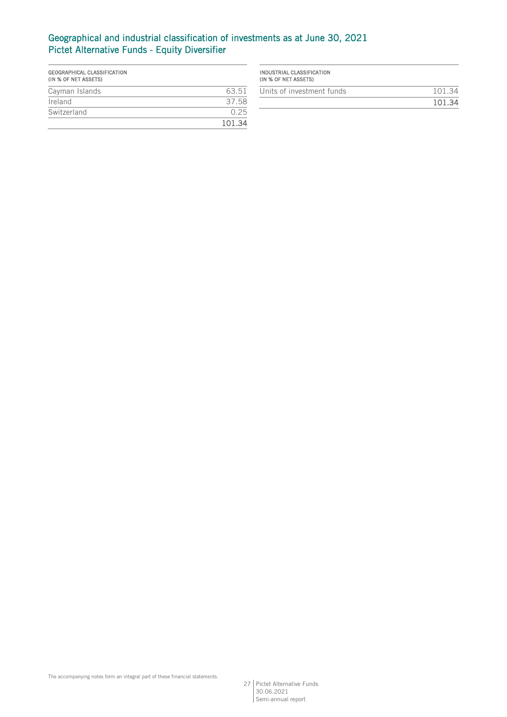# Geographical and industrial classification of investments as at June 30, 2021 Pictet Alternative Funds - Equity Diversifier

| GEOGRAPHICAL CLASSIFICATION<br>(IN % OF NET ASSETS) |        |
|-----------------------------------------------------|--------|
| Cayman Islands                                      | 63.51  |
| Ireland                                             | 3758   |
| Switzerland                                         | N 25   |
|                                                     | 101.34 |

| 101.34 |
|--------|
| 101.34 |
|        |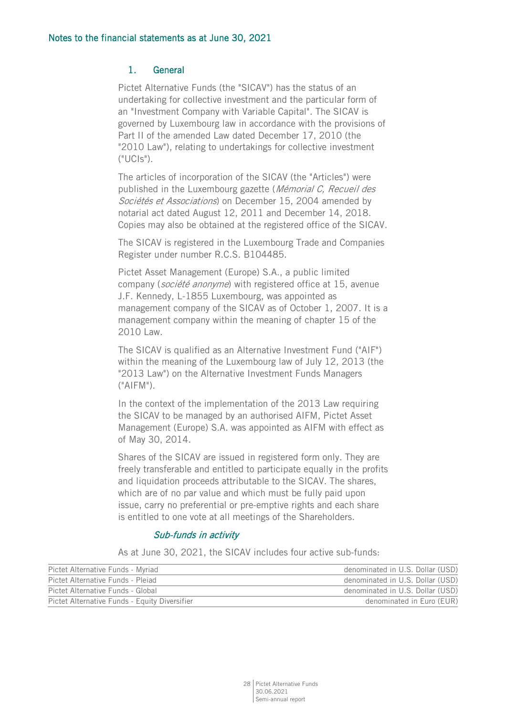# 1. General

Pictet Alternative Funds (the "SICAV") has the status of an undertaking for collective investment and the particular form of an "Investment Company with Variable Capital". The SICAV is governed by Luxembourg law in accordance with the provisions of Part II of the amended Law dated December 17, 2010 (the "2010 Law"), relating to undertakings for collective investment  $($ " $\bigcup$ C $|S$ " $\rangle$ .

The articles of incorporation of the SICAV (the "Articles") were published in the Luxembourg gazette (Mémorial C, Recueil des Sociétés et Associations) on December 15, 2004 amended by notarial act dated August 12, 2011 and December 14, 2018. Copies may also be obtained at the registered office of the SICAV.

The SICAV is registered in the Luxembourg Trade and Companies Register under number R.C.S. B104485.

Pictet Asset Management (Europe) S.A., a public limited company (société anonyme) with registered office at 15, avenue J.F. Kennedy, L-1855 Luxembourg, was appointed as management company of the SICAV as of October 1, 2007. It is a management company within the meaning of chapter 15 of the 2010 Law.

The SICAV is qualified as an Alternative Investment Fund ("AIF") within the meaning of the Luxembourg law of July 12, 2013 (the "2013 Law") on the Alternative Investment Funds Managers  $("AIFM")$ .

In the context of the implementation of the 2013 Law requiring the SICAV to be managed by an authorised AIFM, Pictet Asset Management (Europe) S.A. was appointed as AIFM with effect as of May 30, 2014.

Shares of the SICAV are issued in registered form only. They are freely transferable and entitled to participate equally in the profits and liquidation proceeds attributable to the SICAV. The shares, which are of no par value and which must be fully paid upon issue, carry no preferential or pre-emptive rights and each share is entitled to one vote at all meetings of the Shareholders.

## Sub-funds in activity

As at June 30, 2021, the SICAV includes four active sub-funds:

| Pictet Alternative Funds - Myriad             | denominated in U.S. Dollar (USD) |
|-----------------------------------------------|----------------------------------|
| Pictet Alternative Funds - Pleiad             | denominated in U.S. Dollar (USD) |
| Pictet Alternative Funds - Global             | denominated in U.S. Dollar (USD) |
| Pictet Alternative Funds - Equity Diversifier | denominated in Euro (EUR)        |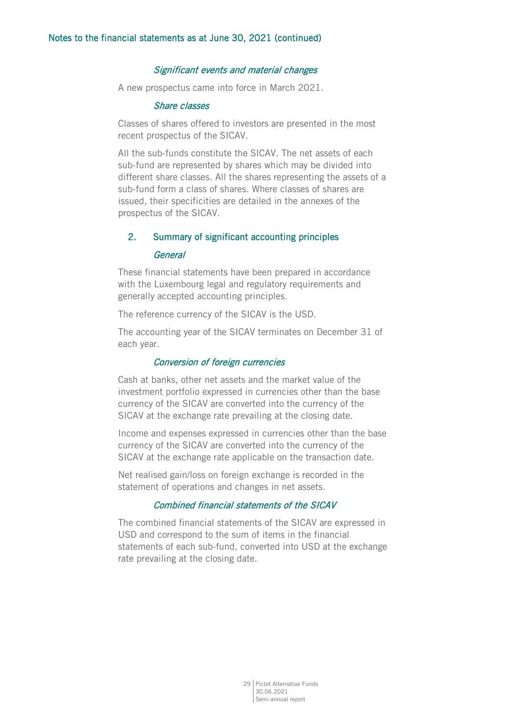## Significant events and material changes

A new prospectus came into force in March 2021.

#### Share classes

Classes of shares offered to investors are presented in the most recent prospectus of the SICAV.

All the sub-funds constitute the SICAV. The net assets of each sub-fund are represented by shares which may be divided into different share classes. All the shares representing the assets of a sub-fund form a class of shares. Where classes of shares are issued, their specificities are detailed in the annexes of the prospectus of the SICAV.

# 2. Summary of significant accounting principles

#### **General**

These financial statements have been prepared in accordance with the Luxembourg legal and regulatory requirements and generally accepted accounting principles.

The reference currency of the SICAV is the USD.

The accounting year of the SICAV terminates on December 31 of each year.

#### Conversion of foreign currencies

Cash at banks, other net assets and the market value of the investment portfolio expressed in currencies other than the base currency of the SICAV are converted into the currency of the SICAV at the exchange rate prevailing at the closing date.

Income and expenses expressed in currencies other than the base currency of the SICAV are converted into the currency of the SICAV at the exchange rate applicable on the transaction date.

Net realised gain/loss on foreign exchange is recorded in the statement of operations and changes in net assets.

## Combined financial statements of the SICAV

The combined financial statements of the SICAV are expressed in USD and correspond to the sum of items in the financial statements of each sub-fund, converted into USD at the exchange rate prevailing at the closing date.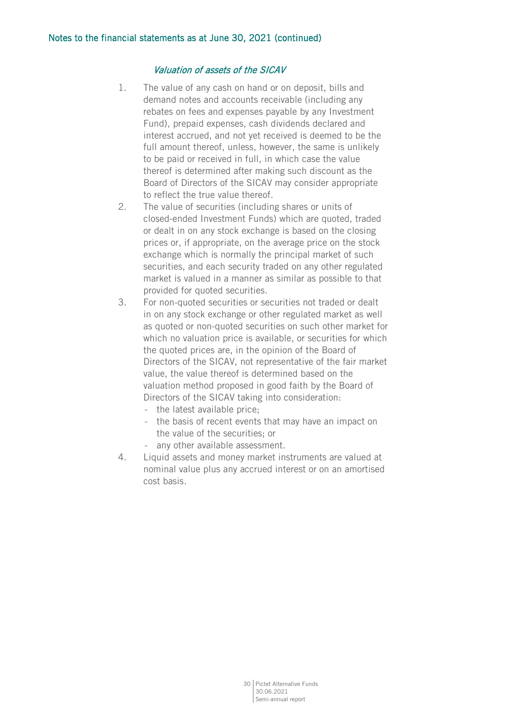## Valuation of assets of the SICAV

- 1. The value of any cash on hand or on deposit, bills and demand notes and accounts receivable (including any rebates on fees and expenses payable by any Investment Fund), prepaid expenses, cash dividends declared and interest accrued, and not yet received is deemed to be the full amount thereof, unless, however, the same is unlikely to be paid or received in full, in which case the value thereof is determined after making such discount as the Board of Directors of the SICAV may consider appropriate to reflect the true value thereof.
- 2. The value of securities (including shares or units of closed-ended Investment Funds) which are quoted, traded or dealt in on any stock exchange is based on the closing prices or, if appropriate, on the average price on the stock exchange which is normally the principal market of such securities, and each security traded on any other regulated market is valued in a manner as similar as possible to that provided for quoted securities.
- 3. For non-quoted securities or securities not traded or dealt in on any stock exchange or other regulated market as well as quoted or non-quoted securities on such other market for which no valuation price is available, or securities for which the quoted prices are, in the opinion of the Board of Directors of the SICAV, not representative of the fair market value, the value thereof is determined based on the valuation method proposed in good faith by the Board of Directors of the SICAV taking into consideration:
	- the latest available price;
	- the basis of recent events that may have an impact on the value of the securities; or
	- any other available assessment.
- 4. Liquid assets and money market instruments are valued at nominal value plus any accrued interest or on an amortised cost basis.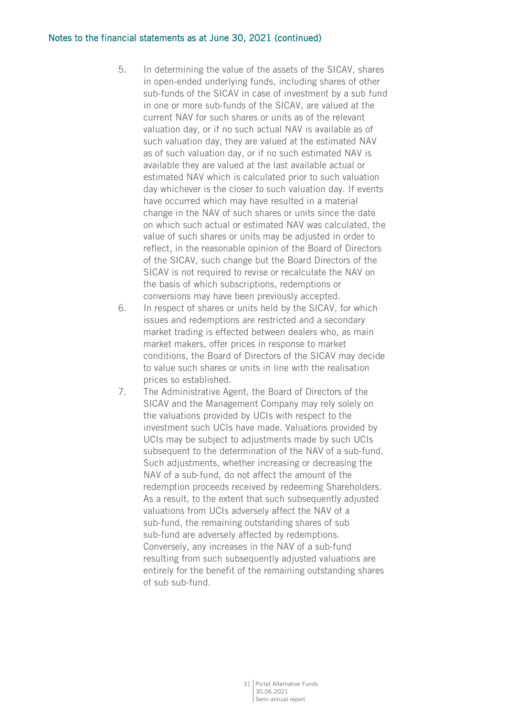## Notes to the financial statements as at June 30, 2021 (continued)

- 5. In determining the value of the assets of the SICAV, shares in open-ended underlying funds, including shares of other sub-funds of the SICAV in case of investment by a sub fund in one or more sub-funds of the SICAV, are valued at the current NAV for such shares or units as of the relevant valuation day, or if no such actual NAV is available as of such valuation day, they are valued at the estimated NAV as of such valuation day, or if no such estimated NAV is available they are valued at the last available actual or estimated NAV which is calculated prior to such valuation day whichever is the closer to such valuation day. If events have occurred which may have resulted in a material change in the NAV of such shares or units since the date on which such actual or estimated NAV was calculated, the value of such shares or units may be adjusted in order to reflect, in the reasonable opinion of the Board of Directors of the SICAV, such change but the Board Directors of the SICAV is not required to revise or recalculate the NAV on the basis of which subscriptions, redemptions or conversions may have been previously accepted.
- 6. In respect of shares or units held by the SICAV, for which issues and redemptions are restricted and a secondary market trading is effected between dealers who, as main market makers, offer prices in response to market conditions, the Board of Directors of the SICAV may decide to value such shares or units in line with the realisation prices so established.
- 7. The Administrative Agent, the Board of Directors of the SICAV and the Management Company may rely solely on the valuations provided by UCIs with respect to the investment such UCIs have made. Valuations provided by UCIs may be subject to adjustments made by such UCIs subsequent to the determination of the NAV of a sub-fund. Such adjustments, whether increasing or decreasing the NAV of a sub-fund, do not affect the amount of the redemption proceeds received by redeeming Shareholders. As a result, to the extent that such subsequently adjusted valuations from UCIs adversely affect the NAV of a sub-fund, the remaining outstanding shares of sub sub-fund are adversely affected by redemptions. Conversely, any increases in the NAV of a sub-fund resulting from such subsequently adjusted valuations are entirely for the benefit of the remaining outstanding shares of sub sub-fund.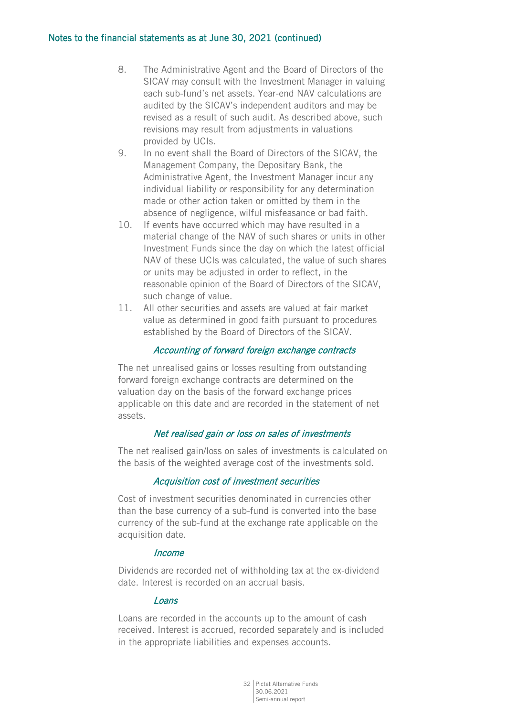## Notes to the financial statements as at June 30, 2021 (continued)

- 8. The Administrative Agent and the Board of Directors of the SICAV may consult with the Investment Manager in valuing each sub-fund's net assets. Year-end NAV calculations are audited by the SICAV's independent auditors and may be revised as a result of such audit. As described above, such revisions may result from adjustments in valuations provided by UCIs.
- 9. In no event shall the Board of Directors of the SICAV, the Management Company, the Depositary Bank, the Administrative Agent, the Investment Manager incur any individual liability or responsibility for any determination made or other action taken or omitted by them in the absence of negligence, wilful misfeasance or bad faith.
- 10. If events have occurred which may have resulted in a material change of the NAV of such shares or units in other Investment Funds since the day on which the latest official NAV of these UCIs was calculated, the value of such shares or units may be adjusted in order to reflect, in the reasonable opinion of the Board of Directors of the SICAV, such change of value.
- 11. All other securities and assets are valued at fair market value as determined in good faith pursuant to procedures established by the Board of Directors of the SICAV.

# Accounting of forward foreign exchange contracts

The net unrealised gains or losses resulting from outstanding forward foreign exchange contracts are determined on the valuation day on the basis of the forward exchange prices applicable on this date and are recorded in the statement of net assets.

# Net realised gain or loss on sales of investments

The net realised gain/loss on sales of investments is calculated on the basis of the weighted average cost of the investments sold.

## Acquisition cost of investment securities

Cost of investment securities denominated in currencies other than the base currency of a sub-fund is converted into the base currency of the sub-fund at the exchange rate applicable on the acquisition date.

## Income

Dividends are recorded net of withholding tax at the ex-dividend date. Interest is recorded on an accrual basis.

## Loans

Loans are recorded in the accounts up to the amount of cash received. Interest is accrued, recorded separately and is included in the appropriate liabilities and expenses accounts.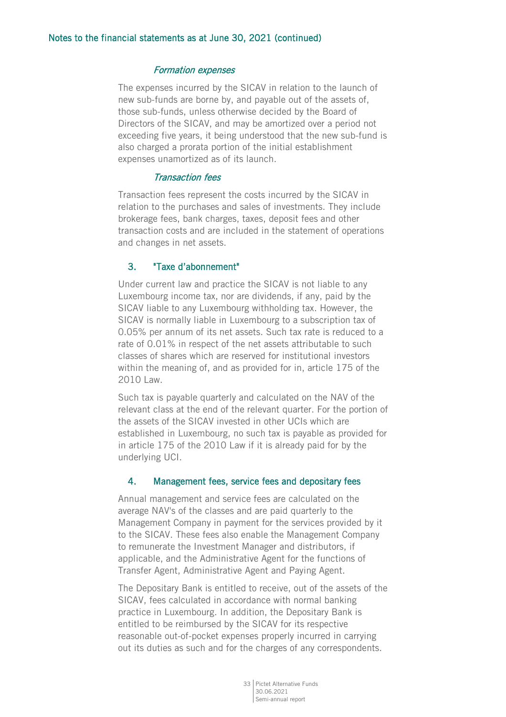## Formation expenses

The expenses incurred by the SICAV in relation to the launch of new sub-funds are borne by, and payable out of the assets of, those sub-funds, unless otherwise decided by the Board of Directors of the SICAV, and may be amortized over a period not exceeding five years, it being understood that the new sub-fund is also charged a prorata portion of the initial establishment expenses unamortized as of its launch.

## Transaction fees

Transaction fees represent the costs incurred by the SICAV in relation to the purchases and sales of investments. They include brokerage fees, bank charges, taxes, deposit fees and other transaction costs and are included in the statement of operations and changes in net assets.

## 3. "Taxe d'abonnement"

Under current law and practice the SICAV is not liable to any Luxembourg income tax, nor are dividends, if any, paid by the SICAV liable to any Luxembourg withholding tax. However, the SICAV is normally liable in Luxembourg to a subscription tax of 0.05% per annum of its net assets. Such tax rate is reduced to a rate of 0.01% in respect of the net assets attributable to such classes of shares which are reserved for institutional investors within the meaning of, and as provided for in, article 175 of the 2010 Law.

Such tax is payable quarterly and calculated on the NAV of the relevant class at the end of the relevant quarter. For the portion of the assets of the SICAV invested in other UCIs which are established in Luxembourg, no such tax is payable as provided for in article 175 of the 2010 Law if it is already paid for by the underlying UCI.

## 4. Management fees, service fees and depositary fees

Annual management and service fees are calculated on the average NAV's of the classes and are paid quarterly to the Management Company in payment for the services provided by it to the SICAV. These fees also enable the Management Company to remunerate the Investment Manager and distributors, if applicable, and the Administrative Agent for the functions of Transfer Agent, Administrative Agent and Paying Agent.

The Depositary Bank is entitled to receive, out of the assets of the SICAV, fees calculated in accordance with normal banking practice in Luxembourg. In addition, the Depositary Bank is entitled to be reimbursed by the SICAV for its respective reasonable out-of-pocket expenses properly incurred in carrying out its duties as such and for the charges of any correspondents.

> 33 Pictet Alternative Funds 30.06.2021 Semi-annual report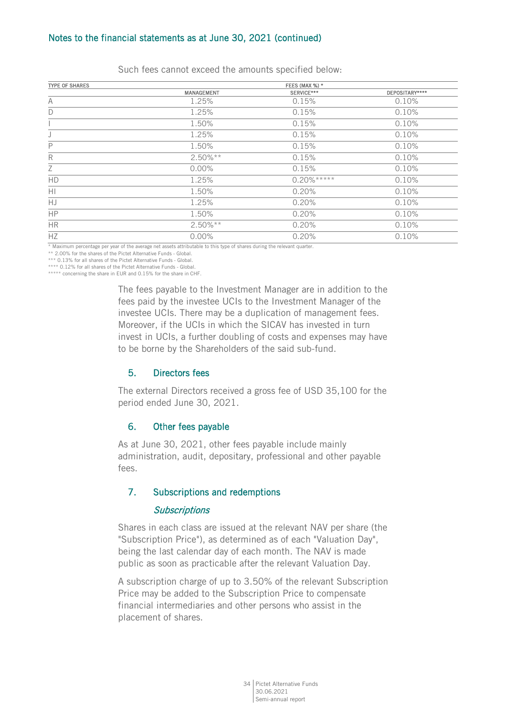## Notes to the financial statements as at June 30, 2021 (continued)

| <b>TYPE OF SHARES</b> |            | FEES (MAX %) * |                |
|-----------------------|------------|----------------|----------------|
|                       | MANAGEMENT | SERVICE***     | DEPOSITARY**** |
| A                     | 1.25%      | 0.15%          | 0.10%          |
| D                     | 1.25%      | 0.15%          | 0.10%          |
|                       | 1.50%      | 0.15%          | 0.10%          |
|                       | 1.25%      | 0.15%          | 0.10%          |
| $\mathsf{P}$          | 1.50%      | 0.15%          | 0.10%          |
| $\mathsf{R}$          | $2.50\%**$ | 0.15%          | 0.10%          |
| Ζ                     | $0.00\%$   | 0.15%          | 0.10%          |
| <b>HD</b>             | 1.25%      | $0.20\%***$    | 0.10%          |
| H1                    | 1.50%      | 0.20%          | 0.10%          |
| HJ                    | 1.25%      | 0.20%          | 0.10%          |
| <b>HP</b>             | 1.50%      | 0.20%          | 0.10%          |
| <b>HR</b>             | $2.50\%**$ | 0.20%          | 0.10%          |
| HZ.                   | $0.00\%$   | 0.20%          | 0.10%          |

Such fees cannot exceed the amounts specified below:

\* Maximum percentage per year of the average net assets attributable to this type of shares during the relevant quarter.

\*\* 2.00% for the shares of the Pictet Alternative Funds - Global.

\*\*\* 0.13% for all shares of the Pictet Alternative Funds - Global \*\*\*\* 0.12% for all shares of the Pictet Alternative Funds - Global.

\*\*\*\*\* concerning the share in EUR and 0.15% for the share in CHF.

The fees payable to the Investment Manager are in addition to the fees paid by the investee UCIs to the Investment Manager of the investee UCIs. There may be a duplication of management fees. Moreover, if the UCIs in which the SICAV has invested in turn invest in UCIs, a further doubling of costs and expenses may have to be borne by the Shareholders of the said sub-fund.

## 5. Directors fees

The external Directors received a gross fee of USD 35,100 for the period ended June 30, 2021.

## 6. Other fees payable

As at June 30, 2021, other fees payable include mainly administration, audit, depositary, professional and other payable fees.

# 7. Subscriptions and redemptions

## **Subscriptions**

Shares in each class are issued at the relevant NAV per share (the "Subscription Price"), as determined as of each "Valuation Day", being the last calendar day of each month. The NAV is made public as soon as practicable after the relevant Valuation Day.

A subscription charge of up to 3.50% of the relevant Subscription Price may be added to the Subscription Price to compensate financial intermediaries and other persons who assist in the placement of shares.

> 34 Pictet Alternative Funds 30.06.2021 Semi-annual report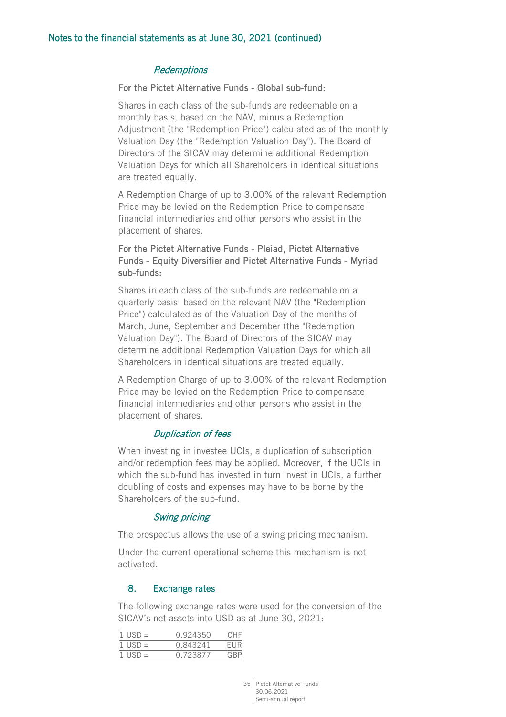## **Redemptions**

## For the Pictet Alternative Funds - Global sub-fund:

Shares in each class of the sub-funds are redeemable on a monthly basis, based on the NAV, minus a Redemption Adjustment (the "Redemption Price") calculated as of the monthly Valuation Day (the "Redemption Valuation Day"). The Board of Directors of the SICAV may determine additional Redemption Valuation Days for which all Shareholders in identical situations are treated equally.

A Redemption Charge of up to 3.00% of the relevant Redemption Price may be levied on the Redemption Price to compensate financial intermediaries and other persons who assist in the placement of shares.

# For the Pictet Alternative Funds - Pleiad, Pictet Alternative Funds - Equity Diversifier and Pictet Alternative Funds - Myriad sub-funds:

Shares in each class of the sub-funds are redeemable on a quarterly basis, based on the relevant NAV (the "Redemption Price") calculated as of the Valuation Day of the months of March, June, September and December (the "Redemption Valuation Day"). The Board of Directors of the SICAV may determine additional Redemption Valuation Days for which all Shareholders in identical situations are treated equally.

A Redemption Charge of up to 3.00% of the relevant Redemption Price may be levied on the Redemption Price to compensate financial intermediaries and other persons who assist in the placement of shares.

#### Duplication of fees

When investing in investee UCIs, a duplication of subscription and/or redemption fees may be applied. Moreover, if the UCIs in which the sub-fund has invested in turn invest in UCIs, a further doubling of costs and expenses may have to be borne by the Shareholders of the sub-fund.

## Swing pricing

The prospectus allows the use of a swing pricing mechanism.

Under the current operational scheme this mechanism is not activated.

## 8. Exchange rates

The following exchange rates were used for the conversion of the SICAV's net assets into USD as at June 30, 2021:

| $1$ USD $=$ | 0.924350 | CHF |
|-------------|----------|-----|
| $1$ USD $=$ | 0.843241 | FUR |
| $1$ USD $=$ | 0.723877 | GRP |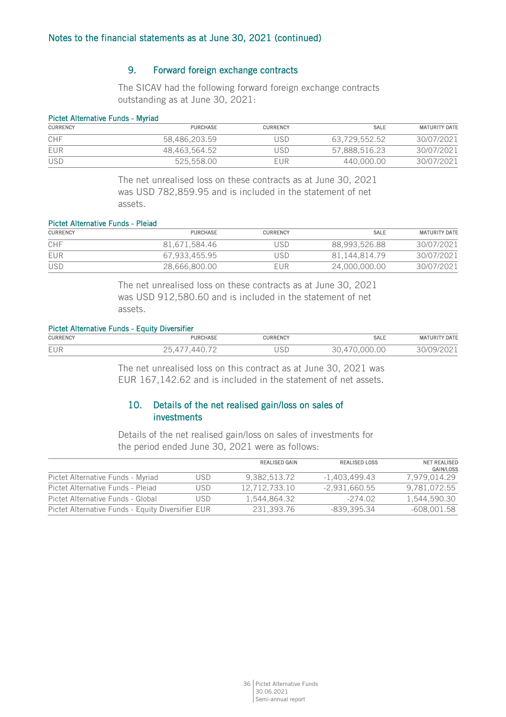## 9. Forward foreign exchange contracts

The SICAV had the following forward foreign exchange contracts outstanding as at June 30, 2021:

## Pictet Alternative Funds - Myriad

| <b>CURRENCY</b> | <b>PURCHASE</b> | <b>CURRENCY</b> | SALE          | <b>MATURITY DATE</b> |
|-----------------|-----------------|-----------------|---------------|----------------------|
| CHF             | 58.486.203.59   | JSD             | 63.729.552.52 | 30/07/2021           |
| EUR             | 48.463.564.52   | USD             | 57.888.516.23 | 30/07/2021           |
| <b>USD</b>      | 525.558.00      | EUR             | 440,000,00    | 30/07/2021           |

The net unrealised loss on these contracts as at June 30, 2021 was USD 782,859.95 and is included in the statement of net assets.

#### Pictet Alternative Funds - Pleiad

| <b>CURRENCY</b> | <b>PURCHASE</b> | <b>CURRENCY</b> | <b>SALE</b>   | <b>MATURITY DATE</b> |
|-----------------|-----------------|-----------------|---------------|----------------------|
| <b>CHF</b>      | 81.671.584.46   | JSD             | 88.993.526.88 | 30/07/2021           |
| EUR             | 67.933.455.95   | JSD             | 81.144.814.79 | 30/07/2021           |
| <b>USD</b>      | 28.666.800.00   | EUR             | 24,000,000.00 | 30/07/2021           |

The net unrealised loss on these contracts as at June 30, 2021 was USD 912,580.60 and is included in the statement of net assets.

#### Pictet Alternative Funds - Equity Diversifier

| <b>CURRENCY</b> | <b>PURCHASE</b>               | <b>CURRENCY</b> | <b>SALE</b>                       | ' DATE<br><b>MATURIT</b>                |
|-----------------|-------------------------------|-----------------|-----------------------------------|-----------------------------------------|
| EUR             | $\overline{\phantom{0}}$<br>c | USD             | $\sim$<br>$\cap$ $\cap$<br>UUU.UU | $\sim$ $\sim$<br>ıч<br>UJI<br>$\cup$ 4. |

The net unrealised loss on this contract as at June 30, 2021 was EUR 167,142.62 and is included in the statement of net assets.

# 10. Details of the net realised gain/loss on sales of investments

Details of the net realised gain/loss on sales of investments for the period ended June 30, 2021 were as follows:

|                                                   |     | <b>REALISED GAIN</b> | <b>REALISED LOSS</b> | <b>NET REALISED</b><br><b>GAIN/LOSS</b> |
|---------------------------------------------------|-----|----------------------|----------------------|-----------------------------------------|
| Pictet Alternative Funds - Myriad                 | USD | 9.382.513.72         | $-1.403.499.43$      | 7.979.014.29                            |
| Pictet Alternative Funds - Pleiad                 | USD | 12.712.733.10        | $-2.931.660.55$      | 9,781,072.55                            |
| Pictet Alternative Funds - Global                 | USD | 1.544.864.32         | $-274.02$            | 1.544.590.30                            |
| Pictet Alternative Funds - Equity Diversifier EUR |     | 231.393.76           | -839.395.34          | $-608,001.58$                           |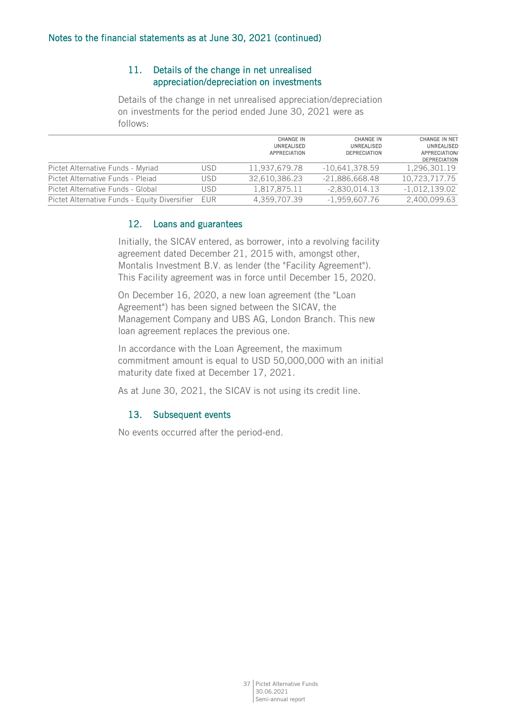# 11. Details of the change in net unrealised appreciation/depreciation on investments

Details of the change in net unrealised appreciation/depreciation on investments for the period ended June 30, 2021 were as follows:

|                                               |            | <b>CHANGE IN</b><br>UNREALISED<br><b>APPRECIATION</b> | <b>CHANGE IN</b><br>UNREALISED<br><b>DEPRECIATION</b> | <b>CHANGE IN NET</b><br><b>UNREALISED</b><br>APPRECIATION/<br><b>DEPRECIATION</b> |
|-----------------------------------------------|------------|-------------------------------------------------------|-------------------------------------------------------|-----------------------------------------------------------------------------------|
| Pictet Alternative Funds - Myriad             | USD        | 11,937,679.78                                         | $-10,641,378.59$                                      | 1,296,301.19                                                                      |
| Pictet Alternative Funds - Pleiad             | USD        | 32.610.386.23                                         | $-21,886,668.48$                                      | 10,723,717.75                                                                     |
| Pictet Alternative Funds - Global             | USD        | 1.817.875.11                                          | $-2.830.014.13$                                       | $-1.012.139.02$                                                                   |
| Pictet Alternative Funds - Equity Diversifier | <b>EUR</b> | 4.359.707.39                                          | $-1,959,607.76$                                       | 2,400,099.63                                                                      |

# 12. Loans and guarantees

Initially, the SICAV entered, as borrower, into a revolving facility agreement dated December 21, 2015 with, amongst other, Montalis Investment B.V. as lender (the "Facility Agreement"). This Facility agreement was in force until December 15, 2020.

On December 16, 2020, a new loan agreement (the "Loan Agreement") has been signed between the SICAV, the Management Company and UBS AG, London Branch. This new loan agreement replaces the previous one.

In accordance with the Loan Agreement, the maximum commitment amount is equal to USD 50,000,000 with an initial maturity date fixed at December 17, 2021.

As at June 30, 2021, the SICAV is not using its credit line.

# 13. Subsequent events

No events occurred after the period-end.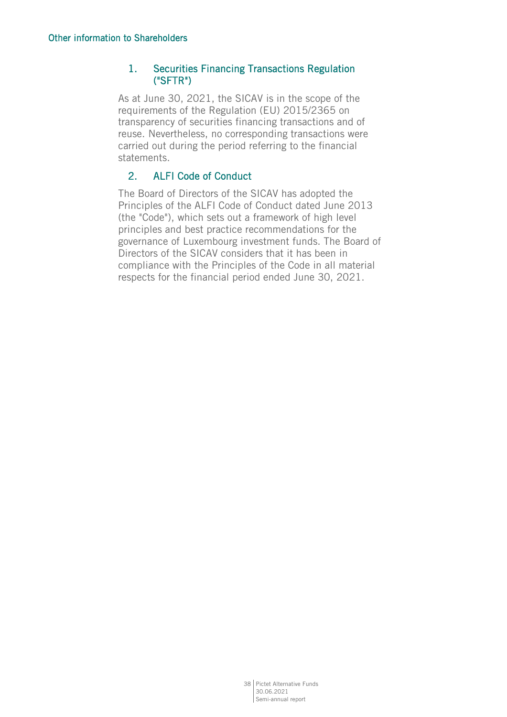# 1. Securities Financing Transactions Regulation ("SFTR")

As at June 30, 2021, the SICAV is in the scope of the requirements of the Regulation (EU) 2015/2365 on transparency of securities financing transactions and of reuse. Nevertheless, no corresponding transactions were carried out during the period referring to the financial statements.

# 2. ALFI Code of Conduct

The Board of Directors of the SICAV has adopted the Principles of the ALFI Code of Conduct dated June 2013 (the "Code"), which sets out a framework of high level principles and best practice recommendations for the governance of Luxembourg investment funds. The Board of Directors of the SICAV considers that it has been in compliance with the Principles of the Code in all material respects for the financial period ended June 30, 2021.